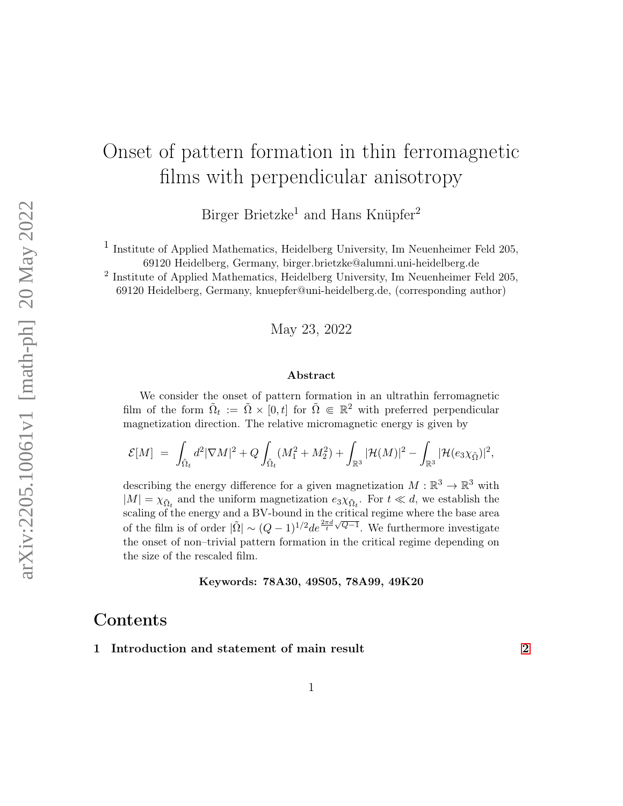# Onset of pattern formation in thin ferromagnetic films with perpendicular anisotropy

Birger Brietzke<sup>1</sup> and Hans Knüpfer<sup>2</sup>

1 Institute of Applied Mathematics, Heidelberg University, Im Neuenheimer Feld 205, 69120 Heidelberg, Germany, birger.brietzke@alumni.uni-heidelberg.de

<sup>2</sup> Institute of Applied Mathematics, Heidelberg University, Im Neuenheimer Feld 205, 69120 Heidelberg, Germany, knuepfer@uni-heidelberg.de, (corresponding author)

May 23, 2022

#### Abstract

We consider the onset of pattern formation in an ultrathin ferromagnetic film of the form  $\tilde{\Omega}_t := \tilde{\Omega} \times [0,t]$  for  $\tilde{\Omega} \in \mathbb{R}^2$  with preferred perpendicular magnetization direction. The relative micromagnetic energy is given by

$$
\mathcal{E}[M] ~=~ \int_{\tilde{\Omega}_t}d^2|\nabla M|^2+Q\int_{\tilde{\Omega}_t}(M_1^2+M_2^2)+\int_{\mathbb{R}^3}|\mathcal{H}(M)|^2-\int_{\mathbb{R}^3}|\mathcal{H}(e_3\chi_{\tilde{\Omega}})|^2,
$$

describing the energy difference for a given magnetization  $M : \mathbb{R}^3 \to \mathbb{R}^3$  with  $|M| = \chi_{\tilde{\Omega}_t}$  and the uniform magnetization  $e_3 \chi_{\tilde{\Omega}_t}$ . For  $t \ll d$ , we establish the scaling of the energy and a BV-bound in the critical regime where the base area of the film is of order  $|\tilde{\Omega}| \sim (Q-1)^{1/2} d e^{\frac{2\pi d}{t} \sqrt{Q-1}}$ . We furthermore investigate the onset of non–trivial pattern formation in the critical regime depending on the size of the rescaled film.

#### Keywords: 78A30, 49S05, 78A99, 49K20

# Contents

#### 1 Introduction and statement of main result [2](#page-1-0)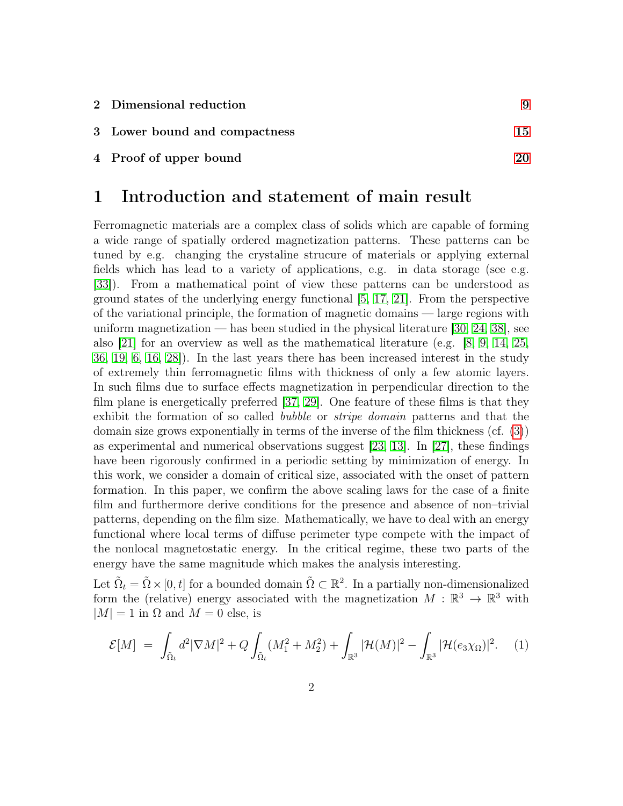| 2 Dimensional reduction       |    |
|-------------------------------|----|
| 3 Lower bound and compactness | 15 |
| 4 Proof of upper bound        | 20 |

### <span id="page-1-0"></span>1 Introduction and statement of main result

Ferromagnetic materials are a complex class of solids which are capable of forming a wide range of spatially ordered magnetization patterns. These patterns can be tuned by e.g. changing the crystaline strucure of materials or applying external fields which has lead to a variety of applications, e.g. in data storage (see e.g. [\[33\]](#page-26-0)). From a mathematical point of view these patterns can be understood as ground states of the underlying energy functional [\[5,](#page-24-0) [17,](#page-24-1) [21\]](#page-25-0). From the perspective of the variational principle, the formation of magnetic domains — large regions with uniform magnetization — has been studied in the physical literature  $[30, 24, 38]$  $[30, 24, 38]$  $[30, 24, 38]$ , see also [\[21\]](#page-25-0) for an overview as well as the mathematical literature (e.g. [\[8,](#page-24-2) [9,](#page-24-3) [14,](#page-24-4) [25,](#page-25-3) [36,](#page-26-2) [19,](#page-25-4) [6,](#page-24-5) [16,](#page-24-6) [28\]](#page-25-5)). In the last years there has been increased interest in the study of extremely thin ferromagnetic films with thickness of only a few atomic layers. In such films due to surface effects magnetization in perpendicular direction to the film plane is energetically preferred [\[37,](#page-26-3) [29\]](#page-25-6). One feature of these films is that they exhibit the formation of so called bubble or stripe domain patterns and that the domain size grows exponentially in terms of the inverse of the film thickness (cf. [\(3\)](#page-3-0)) as experimental and numerical observations suggest [\[23,](#page-25-7) [13\]](#page-24-7). In [\[27\]](#page-25-8), these findings have been rigorously confirmed in a periodic setting by minimization of energy. In this work, we consider a domain of critical size, associated with the onset of pattern formation. In this paper, we confirm the above scaling laws for the case of a finite film and furthermore derive conditions for the presence and absence of non–trivial patterns, depending on the film size. Mathematically, we have to deal with an energy functional where local terms of diffuse perimeter type compete with the impact of the nonlocal magnetostatic energy. In the critical regime, these two parts of the energy have the same magnitude which makes the analysis interesting.

Let  $\tilde{\Omega}_t = \tilde{\Omega} \times [0, t]$  for a bounded domain  $\tilde{\Omega} \subset \mathbb{R}^2$ . In a partially non-dimensionalized form the (relative) energy associated with the magnetization  $M : \mathbb{R}^3 \to \mathbb{R}^3$  with  $|M| = 1$  in  $\Omega$  and  $M = 0$  else, is

<span id="page-1-1"></span>
$$
\mathcal{E}[M] = \int_{\tilde{\Omega}_t} d^2 |\nabla M|^2 + Q \int_{\tilde{\Omega}_t} (M_1^2 + M_2^2) + \int_{\mathbb{R}^3} |\mathcal{H}(M)|^2 - \int_{\mathbb{R}^3} |\mathcal{H}(e_3 \chi_{\Omega})|^2. \tag{1}
$$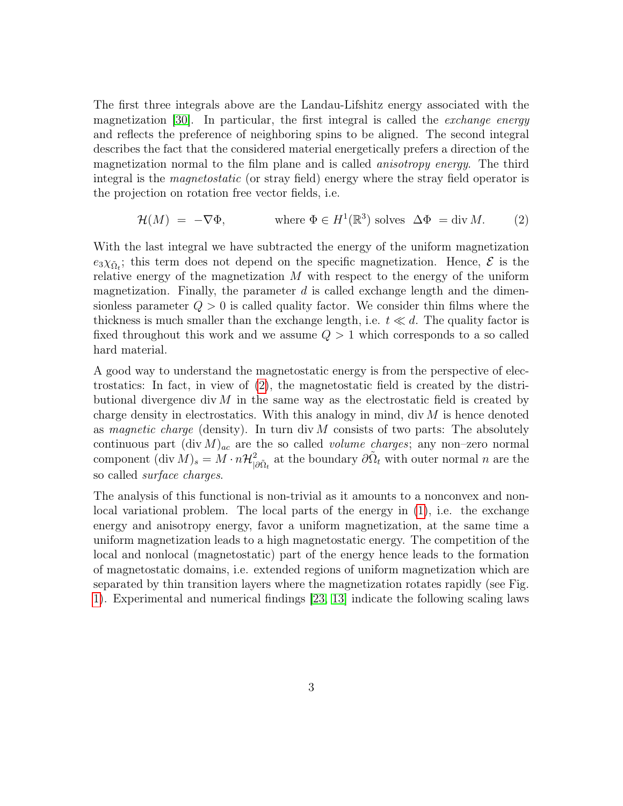The first three integrals above are the Landau-Lifshitz energy associated with the magnetization [\[30\]](#page-25-1). In particular, the first integral is called the exchange energy and reflects the preference of neighboring spins to be aligned. The second integral describes the fact that the considered material energetically prefers a direction of the magnetization normal to the film plane and is called anisotropy energy. The third integral is the *magnetostatic* (or stray field) energy where the stray field operator is the projection on rotation free vector fields, i.e.

<span id="page-2-0"></span>
$$
\mathcal{H}(M) = -\nabla \Phi, \qquad \text{where } \Phi \in H^1(\mathbb{R}^3) \text{ solves } \Delta \Phi = \text{div } M. \tag{2}
$$

With the last integral we have subtracted the energy of the uniform magnetization  $e_3\chi_{\tilde{\Omega}_t}$ ; this term does not depend on the specific magnetization. Hence,  $\mathcal E$  is the relative energy of the magnetization  $M$  with respect to the energy of the uniform magnetization. Finally, the parameter  $d$  is called exchange length and the dimensionless parameter  $Q > 0$  is called quality factor. We consider thin films where the thickness is much smaller than the exchange length, i.e.  $t \ll d$ . The quality factor is fixed throughout this work and we assume  $Q > 1$  which corresponds to a so called hard material.

A good way to understand the magnetostatic energy is from the perspective of electrostatics: In fact, in view of [\(2\)](#page-2-0), the magnetostatic field is created by the distributional divergence div  $M$  in the same way as the electrostatic field is created by charge density in electrostatics. With this analogy in mind, div  $M$  is hence denoted as magnetic charge (density). In turn div  $M$  consists of two parts: The absolutely continuous part  $(\text{div } M)_{ac}$  are the so called *volume charges*; any non–zero normal component  $(\text{div } M)_s = M \cdot n \mathcal{H}^2_{|\partial \tilde{\Omega}_t}$  at the boundary  $\partial \tilde{\Omega}_t$  with outer normal n are the so called surface charges.

The analysis of this functional is non-trivial as it amounts to a nonconvex and nonlocal variational problem. The local parts of the energy in [\(1\)](#page-1-1), i.e. the exchange energy and anisotropy energy, favor a uniform magnetization, at the same time a uniform magnetization leads to a high magnetostatic energy. The competition of the local and nonlocal (magnetostatic) part of the energy hence leads to the formation of magnetostatic domains, i.e. extended regions of uniform magnetization which are separated by thin transition layers where the magnetization rotates rapidly (see Fig. [1\)](#page-3-1). Experimental and numerical findings [\[23,](#page-25-7) [13\]](#page-24-7) indicate the following scaling laws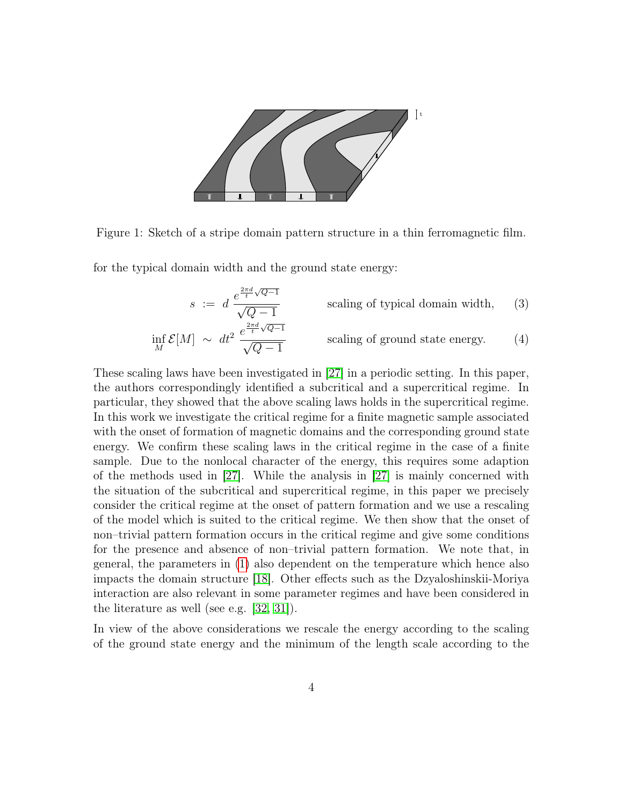

<span id="page-3-1"></span>Figure 1: Sketch of a stripe domain pattern structure in a thin ferromagnetic film.

for the typical domain width and the ground state energy:

<span id="page-3-2"></span><span id="page-3-0"></span>
$$
s := d \frac{e^{\frac{2\pi d}{t}\sqrt{Q-1}}}{\sqrt{Q-1}}
$$
 scaling of typical domain width, (3)  

$$
\inf_{M} \mathcal{E}[M] \sim dt^{2} \frac{e^{\frac{2\pi d}{t}\sqrt{Q-1}}}{\sqrt{Q-1}}
$$
 scaling of ground state energy. (4)

These scaling laws have been investigated in [\[27\]](#page-25-8) in a periodic setting. In this paper, the authors correspondingly identified a subcritical and a supercritical regime. In particular, they showed that the above scaling laws holds in the supercritical regime. In this work we investigate the critical regime for a finite magnetic sample associated with the onset of formation of magnetic domains and the corresponding ground state energy. We confirm these scaling laws in the critical regime in the case of a finite sample. Due to the nonlocal character of the energy, this requires some adaption of the methods used in [\[27\]](#page-25-8). While the analysis in [\[27\]](#page-25-8) is mainly concerned with the situation of the subcritical and supercritical regime, in this paper we precisely consider the critical regime at the onset of pattern formation and we use a rescaling of the model which is suited to the critical regime. We then show that the onset of non–trivial pattern formation occurs in the critical regime and give some conditions for the presence and absence of non–trivial pattern formation. We note that, in general, the parameters in [\(1\)](#page-1-1) also dependent on the temperature which hence also impacts the domain structure [\[18\]](#page-25-9). Other effects such as the Dzyaloshinskii-Moriya interaction are also relevant in some parameter regimes and have been considered in the literature as well (see e.g. [\[32,](#page-25-10) [31\]](#page-25-11)).

In view of the above considerations we rescale the energy according to the scaling of the ground state energy and the minimum of the length scale according to the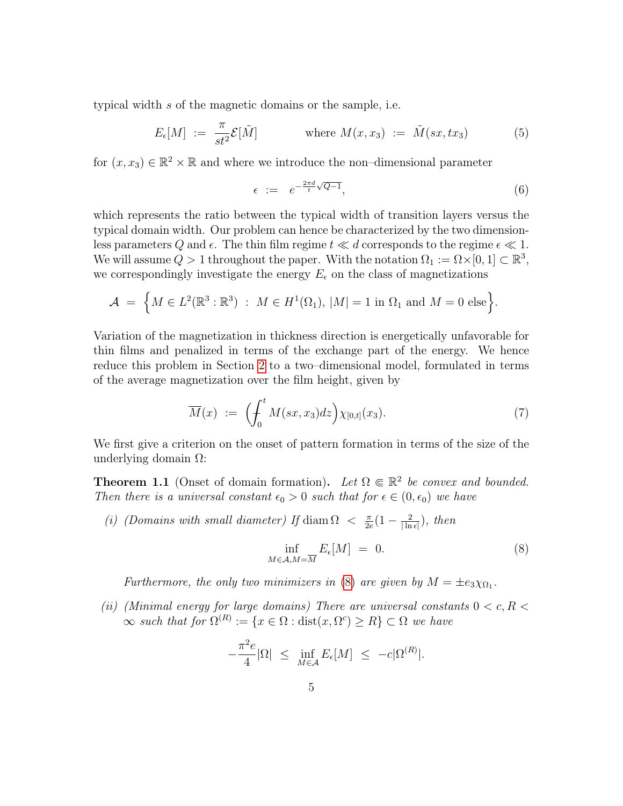typical width s of the magnetic domains or the sample, i.e.

$$
E_{\epsilon}[M] := \frac{\pi}{st^2} \mathcal{E}[\tilde{M}] \qquad \text{where } M(x, x_3) := \tilde{M}(sx, tx_3) \qquad (5)
$$

for  $(x, x_3) \in \mathbb{R}^2 \times \mathbb{R}$  and where we introduce the non-dimensional parameter

<span id="page-4-5"></span><span id="page-4-4"></span>
$$
\epsilon := e^{-\frac{2\pi d}{t}\sqrt{Q-1}},\tag{6}
$$

which represents the ratio between the typical width of transition layers versus the typical domain width. Our problem can hence be characterized by the two dimensionless parameters Q and  $\epsilon$ . The thin film regime  $t \ll d$  corresponds to the regime  $\epsilon \ll 1$ . We will assume  $Q > 1$  throughout the paper. With the notation  $\Omega_1 := \Omega \times [0,1] \subset \mathbb{R}^3$ , we correspondingly investigate the energy  $E_{\epsilon}$  on the class of magnetizations

$$
\mathcal{A} = \left\{ M \in L^2(\mathbb{R}^3 : \mathbb{R}^3) \; : \; M \in H^1(\Omega_1), \, |M| = 1 \text{ in } \Omega_1 \text{ and } M = 0 \text{ else} \right\}.
$$

Variation of the magnetization in thickness direction is energetically unfavorable for thin films and penalized in terms of the exchange part of the energy. We hence reduce this problem in Section [2](#page-8-0) to a two–dimensional model, formulated in terms of the average magnetization over the film height, given by

$$
\overline{M}(x) := \left(\int_0^t M(sx, x_3) dz\right) \chi_{[0,t]}(x_3). \tag{7}
$$

We first give a criterion on the onset of pattern formation in terms of the size of the underlying domain  $Ω$ :

<span id="page-4-1"></span>**Theorem 1.1** (Onset of domain formation). Let  $\Omega \in \mathbb{R}^2$  be convex and bounded. Then there is a universal constant  $\epsilon_0 > 0$  such that for  $\epsilon \in (0, \epsilon_0)$  we have

(i) (Domains with small diameter) If diam  $\Omega < \frac{\pi}{2d}$  $\frac{\pi}{2e}(1-\frac{2}{|\ln{n}|})$  $\frac{2}{\vert \ln \epsilon \vert}), \text{ then}$ 

<span id="page-4-3"></span><span id="page-4-0"></span>
$$
\inf_{M \in \mathcal{A}, M = \overline{M}} E_{\epsilon}[M] = 0. \tag{8}
$$

Furthermore, the only two minimizers in [\(8\)](#page-4-0) are given by  $M = \pm e_3 \chi_{\Omega_1}$ .

<span id="page-4-2"></span>(ii) (Minimal energy for large domains) There are universal constants  $0 < c, R <$  $\infty$  such that for  $\Omega^{(R)} := \{x \in \Omega : \text{dist}(x, \Omega^c) \geq R\} \subset \Omega$  we have

$$
-\frac{\pi^2 e}{4}|\Omega| \le \inf_{M \in \mathcal{A}} E_{\epsilon}[M] \le -c|\Omega^{(R)}|.
$$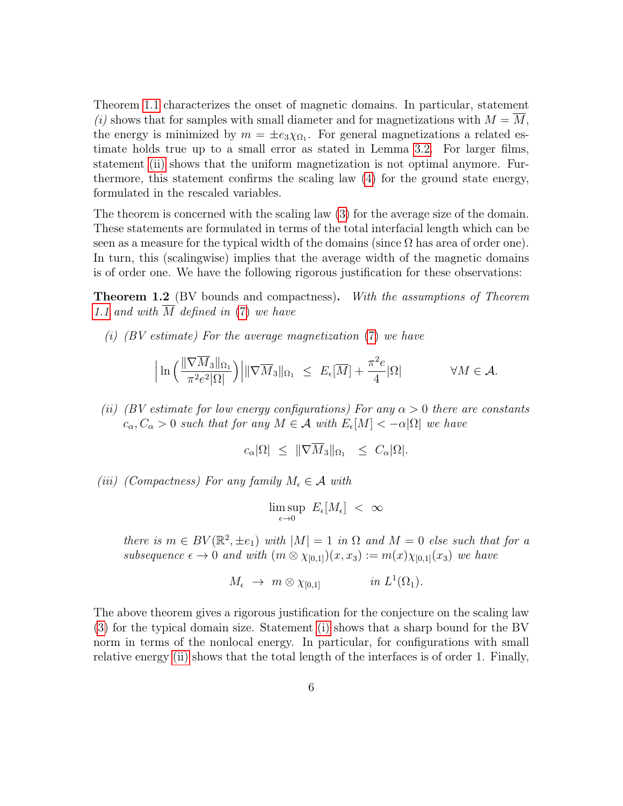Theorem [1.1](#page-4-1) characterizes the onset of magnetic domains. In particular, statement (i) shows that for samples with small diameter and for magnetizations with  $M = M$ , the energy is minimized by  $m = \pm e_3 \chi_{\Omega_1}$ . For general magnetizations a related estimate holds true up to a small error as stated in Lemma [3.2.](#page-16-0) For larger films, statement [\(ii\)](#page-4-2) shows that the uniform magnetization is not optimal anymore. Furthermore, this statement confirms the scaling law [\(4\)](#page-3-2) for the ground state energy, formulated in the rescaled variables.

The theorem is concerned with the scaling law [\(3\)](#page-3-0) for the average size of the domain. These statements are formulated in terms of the total interfacial length which can be seen as a measure for the typical width of the domains (since  $\Omega$  has area of order one). In turn, this (scalingwise) implies that the average width of the magnetic domains is of order one. We have the following rigorous justification for these observations:

<span id="page-5-3"></span>**Theorem 1.2** (BV bounds and compactness). With the assumptions of Theorem [1.1](#page-4-1) and with M defined in [\(7\)](#page-4-3) we have

<span id="page-5-0"></span>(i)  $\left(BV \text{ estimate}\right)$  For the average magnetization [\(7\)](#page-4-3) we have

$$
\left| \ln \left( \frac{\|\nabla \overline{M}_3\|_{\Omega_1}}{\pi^2 e^2 |\Omega|} \right) \right| \|\nabla \overline{M}_3\|_{\Omega_1} \leq E_{\epsilon}[\overline{M}] + \frac{\pi^2 e}{4} |\Omega| \qquad \forall M \in \mathcal{A}.
$$

<span id="page-5-1"></span>(ii) (BV estimate for low energy configurations) For any  $\alpha > 0$  there are constants  $c_{\alpha}, C_{\alpha} > 0$  such that for any  $M \in \mathcal{A}$  with  $E_{\epsilon}[M] < -\alpha |\Omega|$  we have

$$
c_{\alpha}|\Omega| \leq \|\nabla \overline{M}_3\|_{\Omega_1} \leq C_{\alpha}|\Omega|.
$$

<span id="page-5-2"></span>(iii) (Compactness) For any family  $M_{\epsilon} \in \mathcal{A}$  with

$$
\limsup_{\epsilon \to 0} E_{\epsilon}[M_{\epsilon}] < \infty
$$

there is  $m \in BV(\mathbb{R}^2, \pm e_1)$  with  $|M| = 1$  in  $\Omega$  and  $M = 0$  else such that for a subsequence  $\epsilon \to 0$  and with  $(m \otimes \chi_{[0,1]})(x, x_3) := m(x)\chi_{[0,1]}(x_3)$  we have

$$
M_{\epsilon} \rightarrow m \otimes \chi_{[0,1]} \qquad in \ L^1(\Omega_1).
$$

The above theorem gives a rigorous justification for the conjecture on the scaling law [\(3\)](#page-3-0) for the typical domain size. Statement [\(i\)](#page-5-0) shows that a sharp bound for the BV norm in terms of the nonlocal energy. In particular, for configurations with small relative energy [\(ii\)](#page-5-1) shows that the total length of the interfaces is of order 1. Finally,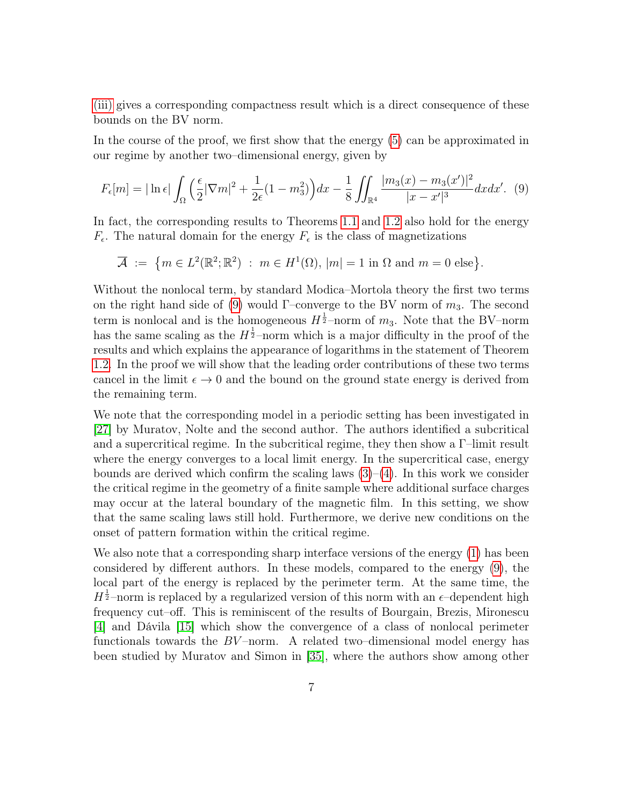[\(iii\)](#page-5-2) gives a corresponding compactness result which is a direct consequence of these bounds on the BV norm.

In the course of the proof, we first show that the energy [\(5\)](#page-4-4) can be approximated in our regime by another two–dimensional energy, given by

$$
F_{\epsilon}[m] = |\ln \epsilon| \int_{\Omega} \left(\frac{\epsilon}{2} |\nabla m|^2 + \frac{1}{2\epsilon} (1 - m_3^2) \right) dx - \frac{1}{8} \iint_{\mathbb{R}^4} \frac{|m_3(x) - m_3(x')|^2}{|x - x'|^3} dx dx'. \tag{9}
$$

In fact, the corresponding results to Theorems [1.1](#page-4-1) and [1.2](#page-5-3) also hold for the energy  $F_{\epsilon}$ . The natural domain for the energy  $F_{\epsilon}$  is the class of magnetizations

<span id="page-6-0"></span>
$$
\overline{\mathcal{A}} := \{ m \in L^2(\mathbb{R}^2; \mathbb{R}^2) : m \in H^1(\Omega), |m| = 1 \text{ in } \Omega \text{ and } m = 0 \text{ else} \}.
$$

Without the nonlocal term, by standard Modica–Mortola theory the first two terms on the right hand side of [\(9\)](#page-6-0) would  $\Gamma$ -converge to the BV norm of  $m_3$ . The second term is nonlocal and is the homogeneous  $H^{\frac{1}{2}}$ -norm of  $m_3$ . Note that the BV-norm has the same scaling as the  $H^{\frac{1}{2}}$ -norm which is a major difficulty in the proof of the results and which explains the appearance of logarithms in the statement of Theorem [1.2.](#page-5-3) In the proof we will show that the leading order contributions of these two terms cancel in the limit  $\epsilon \to 0$  and the bound on the ground state energy is derived from the remaining term.

We note that the corresponding model in a periodic setting has been investigated in [\[27\]](#page-25-8) by Muratov, Nolte and the second author. The authors identified a subcritical and a supercritical regime. In the subcritical regime, they then show a  $\Gamma$ -limit result where the energy converges to a local limit energy. In the supercritical case, energy bounds are derived which confirm the scaling laws  $(3)-(4)$  $(3)-(4)$  $(3)-(4)$ . In this work we consider the critical regime in the geometry of a finite sample where additional surface charges may occur at the lateral boundary of the magnetic film. In this setting, we show that the same scaling laws still hold. Furthermore, we derive new conditions on the onset of pattern formation within the critical regime.

We also note that a corresponding sharp interface versions of the energy [\(1\)](#page-1-1) has been considered by different authors. In these models, compared to the energy [\(9\)](#page-6-0), the local part of the energy is replaced by the perimeter term. At the same time, the  $H^{\frac{1}{2}}$ -norm is replaced by a regularized version of this norm with an  $\epsilon$ -dependent high frequency cut–off. This is reminiscent of the results of Bourgain, Brezis, Mironescu [\[4\]](#page-24-8) and Dávila [\[15\]](#page-24-9) which show the convergence of a class of nonlocal perimeter functionals towards the  $BV$ -norm. A related two-dimensional model energy has been studied by Muratov and Simon in [\[35\]](#page-26-4), where the authors show among other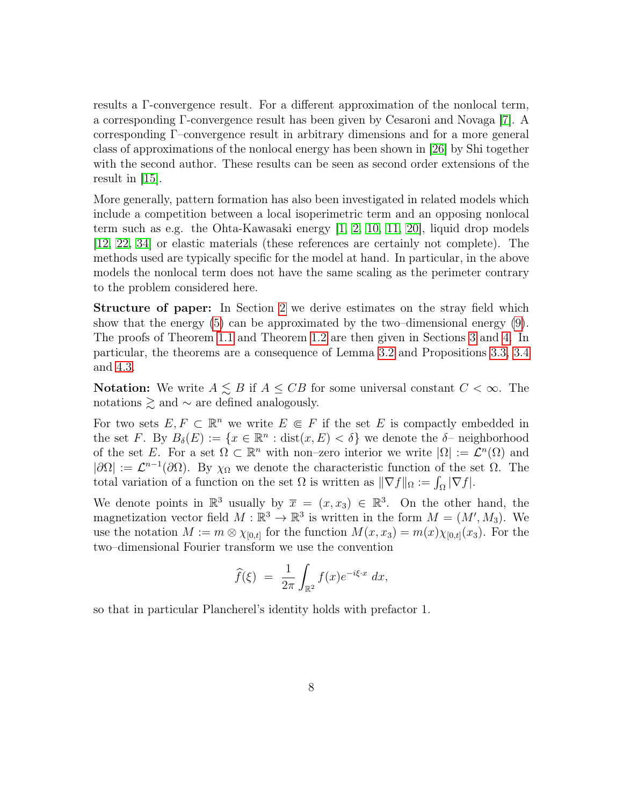results a Γ-convergence result. For a different approximation of the nonlocal term, a corresponding Γ-convergence result has been given by Cesaroni and Novaga [\[7\]](#page-24-10). A corresponding Γ–convergence result in arbitrary dimensions and for a more general class of approximations of the nonlocal energy has been shown in [\[26\]](#page-25-12) by Shi together with the second author. These results can be seen as second order extensions of the result in [\[15\]](#page-24-9).

More generally, pattern formation has also been investigated in related models which include a competition between a local isoperimetric term and an opposing nonlocal term such as e.g. the Ohta-Kawasaki energy [\[1,](#page-23-0) [2,](#page-24-11) [10,](#page-24-12) [11,](#page-24-13) [20\]](#page-25-13), liquid drop models [\[12,](#page-24-14) [22,](#page-25-14) [34\]](#page-26-5) or elastic materials (these references are certainly not complete). The methods used are typically specific for the model at hand. In particular, in the above models the nonlocal term does not have the same scaling as the perimeter contrary to the problem considered here.

Structure of paper: In Section [2](#page-8-0) we derive estimates on the stray field which show that the energy [\(5\)](#page-4-4) can be approximated by the two–dimensional energy [\(9\)](#page-6-0). The proofs of Theorem [1.1](#page-4-1) and Theorem [1.2](#page-5-3) are then given in Sections [3](#page-14-0) and [4.](#page-19-0) In particular, the theorems are a consequence of Lemma [3.2](#page-16-0) and Propositions [3.3,](#page-17-0) [3.4](#page-19-1) and [4.3.](#page-22-0)

**Notation:** We write  $A \leq B$  if  $A \leq CB$  for some universal constant  $C < \infty$ . The notations  $\geq$  and  $\sim$  are defined analogously.

For two sets  $E, F \subset \mathbb{R}^n$  we write  $E \in F$  if the set E is compactly embedded in the set F. By  $B_\delta(E) := \{x \in \mathbb{R}^n : \text{dist}(x, E) < \delta\}$  we denote the  $\delta$ -neighborhood of the set E. For a set  $\Omega \subset \mathbb{R}^n$  with non–zero interior we write  $|\Omega| := \mathcal{L}^n(\Omega)$  and  $|\partial\Omega| := \mathcal{L}^{n-1}(\partial\Omega)$ . By  $\chi_{\Omega}$  we denote the characteristic function of the set  $\Omega$ . The total variation of a function on the set  $\Omega$  is written as  $\|\nabla f\|_{\Omega} := \int_{\Omega} |\nabla f|$ .

We denote points in  $\mathbb{R}^3$  usually by  $\overline{x} = (x, x_3) \in \mathbb{R}^3$ . On the other hand, the magnetization vector field  $M : \mathbb{R}^3 \to \mathbb{R}^3$  is written in the form  $M = (M', M_3)$ . We use the notation  $M := m \otimes \chi_{[0,t]}$  for the function  $M(x,x_3) = m(x)\chi_{[0,t]}(x_3)$ . For the two–dimensional Fourier transform we use the convention

$$
\widehat{f}(\xi) = \frac{1}{2\pi} \int_{\mathbb{R}^2} f(x) e^{-i\xi \cdot x} dx,
$$

so that in particular Plancherel's identity holds with prefactor 1.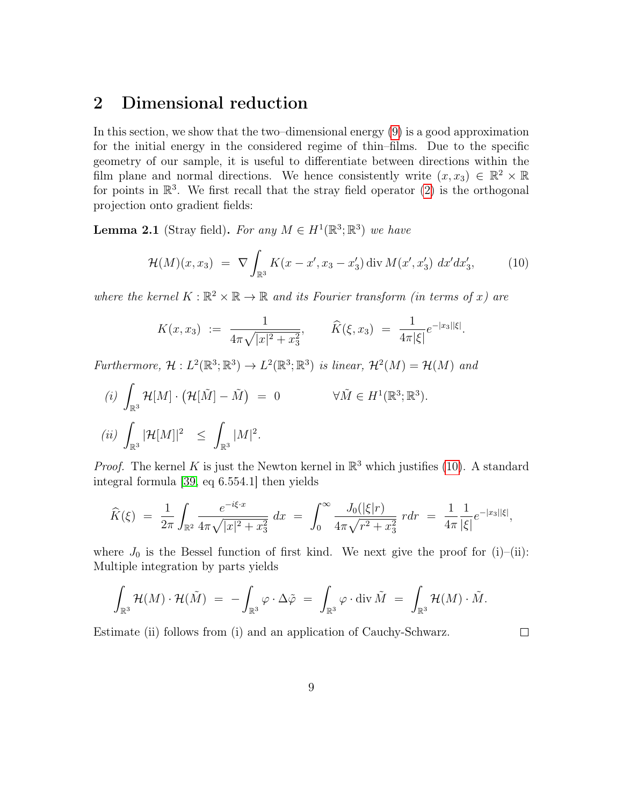# <span id="page-8-0"></span>2 Dimensional reduction

In this section, we show that the two–dimensional energy [\(9\)](#page-6-0) is a good approximation for the initial energy in the considered regime of thin–films. Due to the specific geometry of our sample, it is useful to differentiate between directions within the film plane and normal directions. We hence consistently write  $(x, x_3) \in \mathbb{R}^2 \times \mathbb{R}$ for points in  $\mathbb{R}^3$ . We first recall that the stray field operator [\(2\)](#page-2-0) is the orthogonal projection onto gradient fields:

<span id="page-8-2"></span>**Lemma 2.1** (Stray field). For any  $M \in H^1(\mathbb{R}^3; \mathbb{R}^3)$  we have

$$
\mathcal{H}(M)(x,x_3) = \nabla \int_{\mathbb{R}^3} K(x - x', x_3 - x'_3) \operatorname{div} M(x', x'_3) dx' dx'_3, \tag{10}
$$

where the kernel  $K : \mathbb{R}^2 \times \mathbb{R} \to \mathbb{R}$  and its Fourier transform (in terms of x) are

<span id="page-8-1"></span>
$$
K(x,x_3) := \frac{1}{4\pi\sqrt{|x|^2 + x_3^2}}, \qquad \widehat{K}(\xi,x_3) = \frac{1}{4\pi|\xi|}e^{-|x_3||\xi|}.
$$

Furthermore,  $\mathcal{H}: L^2(\mathbb{R}^3; \mathbb{R}^3) \to L^2(\mathbb{R}^3; \mathbb{R}^3)$  is linear,  $\mathcal{H}^2(M) = \mathcal{H}(M)$  and

$$
(i) \int_{\mathbb{R}^3} \mathcal{H}[M] \cdot (\mathcal{H}[\tilde{M}] - \tilde{M}) = 0 \qquad \forall \tilde{M} \in H^1(\mathbb{R}^3; \mathbb{R}^3).
$$
  

$$
(ii) \int_{\mathbb{R}^3} |\mathcal{H}[M]|^2 \le \int_{\mathbb{R}^3} |M|^2.
$$

*Proof.* The kernel K is just the Newton kernel in  $\mathbb{R}^3$  which justifies [\(10\)](#page-8-1). A standard integral formula [\[39,](#page-26-6) eq 6.554.1] then yields

$$
\widehat{K}(\xi) = \frac{1}{2\pi} \int_{\mathbb{R}^2} \frac{e^{-i\xi \cdot x}}{4\pi \sqrt{|x|^2 + x_3^2}} dx = \int_0^\infty \frac{J_0(|\xi|r)}{4\pi \sqrt{r^2 + x_3^2}} r dr = \frac{1}{4\pi} \frac{1}{|\xi|} e^{-|x_3||\xi|},
$$

where  $J_0$  is the Bessel function of first kind. We next give the proof for (i)–(ii): Multiple integration by parts yields

$$
\int_{\mathbb{R}^3} \mathcal{H}(M) \cdot \mathcal{H}(\tilde{M}) \,\, = \,\, - \int_{\mathbb{R}^3} \varphi \cdot \Delta \tilde{\varphi} \,\, = \,\, \int_{\mathbb{R}^3} \varphi \cdot \mathrm{div} \, \tilde{M} \,\, = \,\, \int_{\mathbb{R}^3} \mathcal{H}(M) \cdot \tilde{M}.
$$

Estimate (ii) follows from (i) and an application of Cauchy-Schwarz.

 $\Box$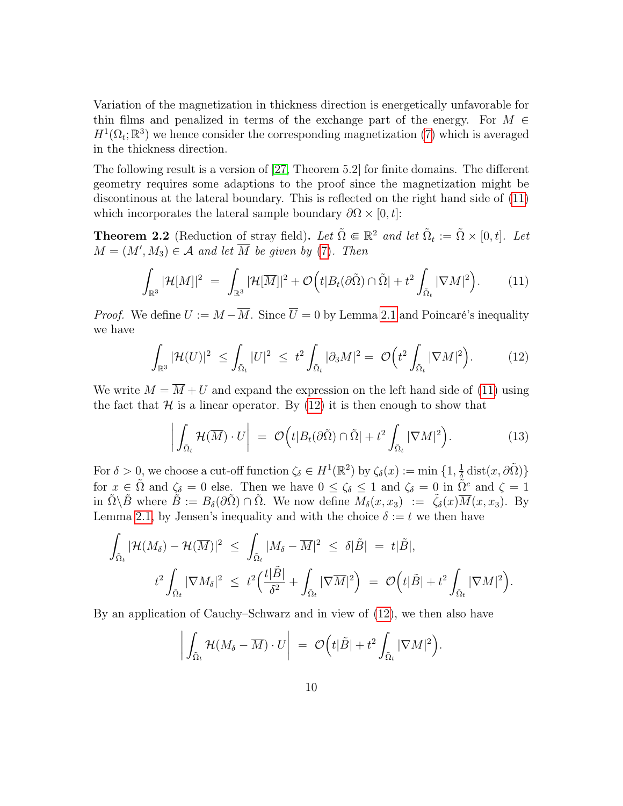Variation of the magnetization in thickness direction is energetically unfavorable for thin films and penalized in terms of the exchange part of the energy. For  $M \in$  $H^1(\Omega_t;\mathbb{R}^3)$  we hence consider the corresponding magnetization [\(7\)](#page-4-3) which is averaged in the thickness direction.

The following result is a version of [\[27,](#page-25-8) Theorem 5.2] for finite domains. The different geometry requires some adaptions to the proof since the magnetization might be discontinous at the lateral boundary. This is reflected on the right hand side of [\(11\)](#page-9-0) which incorporates the lateral sample boundary  $\partial\Omega \times [0, t]$ :

<span id="page-9-3"></span>**Theorem 2.2** (Reduction of stray field). Let  $\tilde{\Omega} \in \mathbb{R}^2$  and let  $\tilde{\Omega}_t := \tilde{\Omega} \times [0, t]$ . Let  $M = (M', M_3) \in \mathcal{A}$  and let  $\overline{M}$  be given by [\(7\)](#page-4-3). Then

$$
\int_{\mathbb{R}^3} |\mathcal{H}[M]|^2 = \int_{\mathbb{R}^3} |\mathcal{H}[\overline{M}]|^2 + \mathcal{O}\Big(t|B_t(\partial \tilde{\Omega}) \cap \tilde{\Omega}| + t^2 \int_{\tilde{\Omega}_t} |\nabla M|^2\Big). \tag{11}
$$

*Proof.* We define  $U := M - \overline{M}$ . Since  $\overline{U} = 0$  by Lemma [2.1](#page-8-2) and Poincaré's inequality we have

<span id="page-9-0"></span>
$$
\int_{\mathbb{R}^3} |\mathcal{H}(U)|^2 \le \int_{\tilde{\Omega}_t} |U|^2 \le t^2 \int_{\tilde{\Omega}_t} |\partial_3 M|^2 = \mathcal{O}\Big(t^2 \int_{\tilde{\Omega}_t} |\nabla M|^2\Big). \tag{12}
$$

We write  $M = \overline{M} + U$  and expand the expression on the left hand side of [\(11\)](#page-9-0) using the fact that  $\mathcal H$  is a linear operator. By [\(12\)](#page-9-1) it is then enough to show that

<span id="page-9-2"></span><span id="page-9-1"></span>
$$
\left| \int_{\tilde{\Omega}_t} \mathcal{H}(\overline{M}) \cdot U \right| = \mathcal{O}\left(t | B_t(\partial \tilde{\Omega}) \cap \tilde{\Omega}| + t^2 \int_{\tilde{\Omega}_t} |\nabla M|^2\right).
$$
 (13)

For  $\delta > 0$ , we choose a cut-off function  $\zeta_{\delta} \in H^1(\mathbb{R}^2)$  by  $\zeta_{\delta}(x) := \min \{1, \frac{1}{\delta}\}$  $\frac{1}{\tilde{\delta}} \operatorname{dist}(x, \partial \tilde{\Omega})\}$ for  $x \in \tilde{\Omega}$  and  $\zeta_{\delta} = 0$  else. Then we have  $0 \leq \zeta_{\delta} \leq 1$  and  $\zeta_{\delta} = 0$  in  $\tilde{\Omega}^c$  and  $\zeta = 1$ in  $\tilde{\Omega}\backslash\tilde{B}$  where  $\tilde{B} := B_{\delta}(\partial\tilde{\Omega}) \cap \tilde{\Omega}$ . We now define  $M_{\delta}(x,x_3) := \tilde{\zeta}_{\delta}(x)\overline{M}(x,x_3)$ . By Lemma [2.1,](#page-8-2) by Jensen's inequality and with the choice  $\delta := t$  we then have

$$
\int_{\tilde{\Omega}_t} |\mathcal{H}(M_{\delta}) - \mathcal{H}(\overline{M})|^2 \leq \int_{\tilde{\Omega}_t} |M_{\delta} - \overline{M}|^2 \leq \delta |\tilde{B}| = t|\tilde{B}|,
$$
  

$$
t^2 \int_{\tilde{\Omega}_t} |\nabla M_{\delta}|^2 \leq t^2 \Big( \frac{t|\tilde{B}|}{\delta^2} + \int_{\tilde{\Omega}_t} |\nabla \overline{M}|^2 \Big) = \mathcal{O}\Big(t|\tilde{B}| + t^2 \int_{\tilde{\Omega}_t} |\nabla M|^2\Big).
$$

By an application of Cauchy–Schwarz and in view of [\(12\)](#page-9-1), we then also have

$$
\left| \int_{\tilde{\Omega}_t} \mathcal{H}(M_{\delta} - \overline{M}) \cdot U \right| \ = \ \mathcal{O}\Big(t|\tilde{B}| + t^2 \int_{\tilde{\Omega}_t} |\nabla M|^2\Big).
$$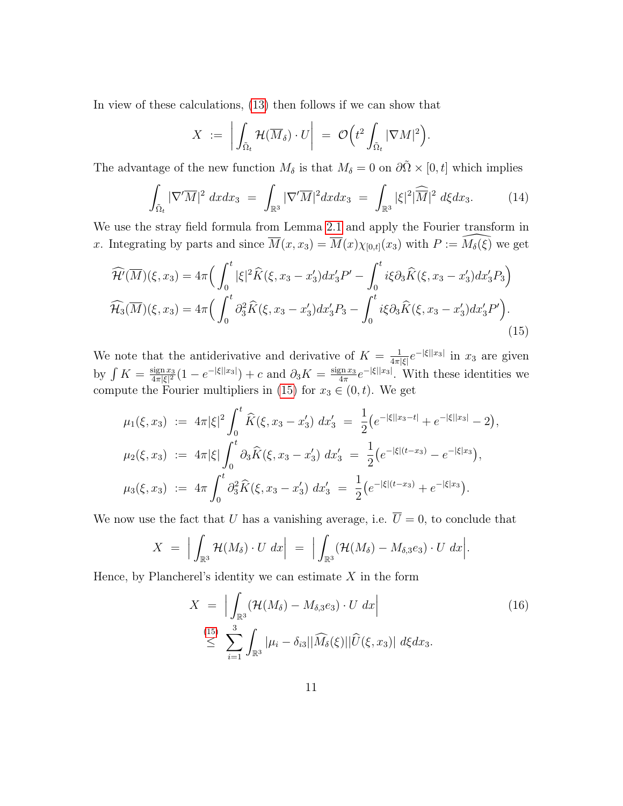In view of these calculations, [\(13\)](#page-9-2) then follows if we can show that

<span id="page-10-1"></span><span id="page-10-0"></span>
$$
X \; := \; \bigg| \int_{\tilde{\Omega}_t} \mathcal{H}(\overline{M}_\delta) \cdot U \bigg| \; = \; \mathcal{O} \Big( t^2 \int_{\tilde{\Omega}_t} |\nabla M|^2 \Big).
$$

The advantage of the new function  $M_{\delta}$  is that  $M_{\delta} = 0$  on  $\partial \tilde{\Omega} \times [0, t]$  which implies

$$
\int_{\tilde{\Omega}_t} |\nabla'\overline{M}|^2 dx dx_3 = \int_{\mathbb{R}^3} |\nabla'\overline{M}|^2 dx dx_3 = \int_{\mathbb{R}^3} |\xi|^2 |\widehat{\overline{M}}|^2 d\xi dx_3.
$$
 (14)

We use the stray field formula from Lemma [2.1](#page-8-2) and apply the Fourier transform in x. Integrating by parts and since  $\overline{M}(x, x_3) = \overline{M}(x)\chi_{[0,t]}(x_3)$  with  $P := \widehat{M_{\delta}(\xi)}$  we get

$$
\widehat{\mathcal{H}}(\overline{M})(\xi, x_3) = 4\pi \Big( \int_0^t |\xi|^2 \widehat{K}(\xi, x_3 - x_3') dx_3' P' - \int_0^t i\xi \partial_3 \widehat{K}(\xi, x_3 - x_3') dx_3' P_3 \Big)
$$
  

$$
\widehat{\mathcal{H}}_3(\overline{M})(\xi, x_3) = 4\pi \Big( \int_0^t \partial_3^2 \widehat{K}(\xi, x_3 - x_3') dx_3' P_3 - \int_0^t i\xi \partial_3 \widehat{K}(\xi, x_3 - x_3') dx_3' P' \Big).
$$
\n(15)

We note that the antiderivative and derivative of  $K = \frac{1}{4\pi}$  $\frac{1}{4\pi|\xi|}e^{-|\xi||x_3|}$  in  $x_3$  are given by  $\int K = \frac{\operatorname{sign} x_3}{4\pi |\xi|^2}$  $\frac{\text{sign}\, x_3}{4\pi|\xi|^2}(1-e^{-|\xi||x_3|})+c \,\,\text{and}\,\,\partial_3K=\frac{\text{sign}\, x_3}{4\pi}$  $\frac{\sin x_3}{4\pi}e^{-|\xi||x_3|}$ . With these identities we compute the Fourier multipliers in [\(15\)](#page-10-0) for  $x_3 \in (0, t)$ . We get

$$
\mu_1(\xi, x_3) := 4\pi |\xi|^2 \int_0^t \widehat{K}(\xi, x_3 - x_3') dx_3' = \frac{1}{2} (e^{-|\xi||x_3 - t|} + e^{-|\xi||x_3|} - 2),
$$
  
\n
$$
\mu_2(\xi, x_3) := 4\pi |\xi| \int_0^t \partial_3 \widehat{K}(\xi, x_3 - x_3') dx_3' = \frac{1}{2} (e^{-|\xi|(t - x_3)} - e^{-|\xi|x_3}) ,
$$
  
\n
$$
\mu_3(\xi, x_3) := 4\pi \int_0^t \partial_3^2 \widehat{K}(\xi, x_3 - x_3') dx_3' = \frac{1}{2} (e^{-|\xi|(t - x_3)} + e^{-|\xi|x_3}) .
$$

We now use the fact that U has a vanishing average, i.e.  $\overline{U} = 0$ , to conclude that

$$
X = \Big|\int_{\mathbb{R}^3} \mathcal{H}(M_{\delta}) \cdot U \, dx\Big| = \Big|\int_{\mathbb{R}^3} (\mathcal{H}(M_{\delta}) - M_{\delta,3}e_3) \cdot U \, dx\Big|.
$$

Hence, by Plancherel's identity we can estimate  $X$  in the form

<span id="page-10-2"></span>
$$
X = \left| \int_{\mathbb{R}^3} (\mathcal{H}(M_\delta) - M_{\delta,3}e_3) \cdot U \, dx \right|
$$
  
\n
$$
\leq \sum_{i=1}^{3} \int_{\mathbb{R}^3} |\mu_i - \delta_{i3}| |\widehat{M}_\delta(\xi)| |\widehat{U}(\xi, x_3)| \, d\xi dx_3.
$$
\n(16)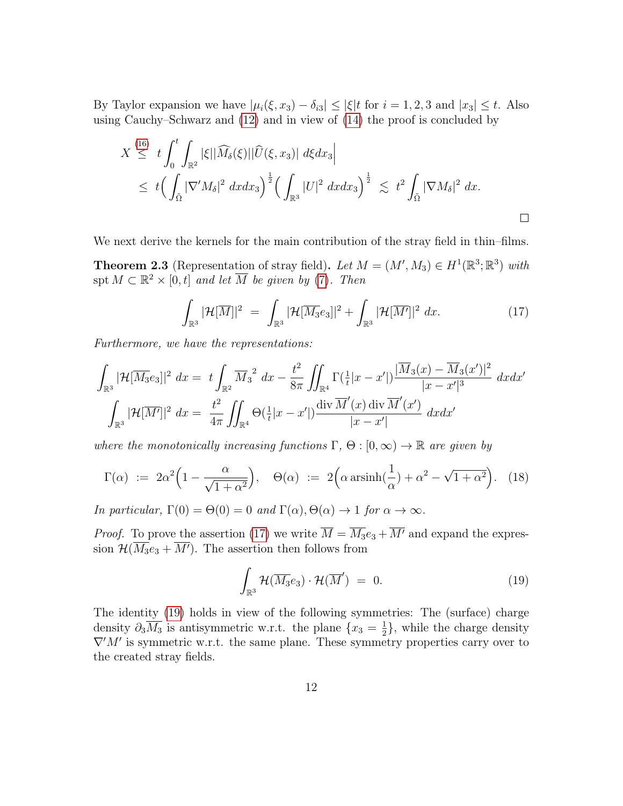By Taylor expansion we have  $|\mu_i(\xi, x_3) - \delta_{i3}| \leq |\xi| t$  for  $i = 1, 2, 3$  and  $|x_3| \leq t$ . Also using Cauchy–Schwarz and [\(12\)](#page-9-1) and in view of [\(14\)](#page-10-1) the proof is concluded by

$$
X \stackrel{(16)}{\leq} t \int_0^t \int_{\mathbb{R}^2} |\xi| |\widehat{M}_{\delta}(\xi)| |\widehat{U}(\xi, x_3)| d\xi dx_3
$$
  

$$
\leq t \Big( \int_{\tilde{\Omega}} |\nabla' M_{\delta}|^2 dxdx_3 \Big)^{\frac{1}{2}} \Big( \int_{\mathbb{R}^3} |U|^2 dxdx_3 \Big)^{\frac{1}{2}} \lesssim t^2 \int_{\tilde{\Omega}} |\nabla M_{\delta}|^2 d x.
$$

We next derive the kernels for the main contribution of the stray field in thin–films.

<span id="page-11-3"></span>**Theorem 2.3** (Representation of stray field). Let  $M = (M', M_3) \in H^1(\mathbb{R}^3; \mathbb{R}^3)$  with spt  $M \subset \mathbb{R}^2 \times [0, t]$  and let  $\overline{M}$  be given by [\(7\)](#page-4-3). Then

<span id="page-11-0"></span>
$$
\int_{\mathbb{R}^3} |\mathcal{H}[\overline{M}]|^2 = \int_{\mathbb{R}^3} |\mathcal{H}[\overline{M_3}e_3]|^2 + \int_{\mathbb{R}^3} |\mathcal{H}[\overline{M'}]|^2 dx.
$$
 (17)

Furthermore, we have the representations:

$$
\int_{\mathbb{R}^3} |\mathcal{H}[\overline{M_3}e_3]|^2 \, dx = t \int_{\mathbb{R}^2} \overline{M_3}^2 \, dx - \frac{t^2}{8\pi} \iint_{\mathbb{R}^4} \Gamma(\frac{1}{t}|x - x'|) \frac{|\overline{M_3}(x) - \overline{M_3}(x')|^2}{|x - x'|^3} \, dxdx'
$$
\n
$$
\int_{\mathbb{R}^3} |\mathcal{H}[\overline{M'}]|^2 \, dx = \frac{t^2}{4\pi} \iint_{\mathbb{R}^4} \Theta(\frac{1}{t}|x - x'|) \frac{\operatorname{div} \overline{M'}(x) \operatorname{div} \overline{M'}(x')}{|x - x'|} \, dxdx'
$$

where the monotonically increasing functions  $\Gamma$ ,  $\Theta$ :  $[0,\infty) \to \mathbb{R}$  are given by

$$
\Gamma(\alpha) := 2\alpha^2 \left(1 - \frac{\alpha}{\sqrt{1 + \alpha^2}}\right), \quad \Theta(\alpha) := 2\left(\alpha \operatorname{arsinh}\left(\frac{1}{\alpha}\right) + \alpha^2 - \sqrt{1 + \alpha^2}\right). \tag{18}
$$

In particular,  $\Gamma(0) = \Theta(0) = 0$  and  $\Gamma(\alpha), \Theta(\alpha) \to 1$  for  $\alpha \to \infty$ .

*Proof.* To prove the assertion [\(17\)](#page-11-0) we write  $\overline{M} = \overline{M_3}e_3 + \overline{M'}$  and expand the expression  $\mathcal{H}(\overline{M_3}e_3 + \overline{M'})$ . The assertion then follows from

<span id="page-11-2"></span><span id="page-11-1"></span>
$$
\int_{\mathbb{R}^3} \mathcal{H}(\overline{M_3}e_3) \cdot \mathcal{H}(\overline{M}') = 0.
$$
\n(19)

The identity [\(19\)](#page-11-1) holds in view of the following symmetries: The (surface) charge density  $\partial_3 \overline{M_3}$  is antisymmetric w.r.t. the plane  $\{x_3 = \frac{1}{2}\}$  $\frac{1}{2}$ , while the charge density  $\nabla' M'$  is symmetric w.r.t. the same plane. These symmetry properties carry over to the created stray fields.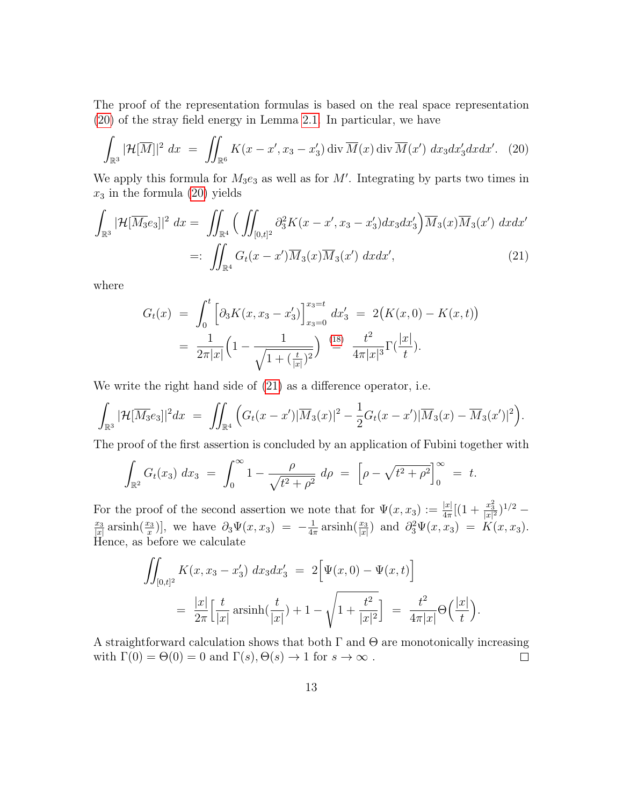The proof of the representation formulas is based on the real space representation [\(20\)](#page-12-0) of the stray field energy in Lemma [2.1.](#page-8-2) In particular, we have

$$
\int_{\mathbb{R}^3} |\mathcal{H}[\overline{M}]|^2 \, dx = \iint_{\mathbb{R}^6} K(x - x', x_3 - x'_3) \operatorname{div} \overline{M}(x) \operatorname{div} \overline{M}(x') \, dx_3 dx'_3 dx dx'. \tag{20}
$$

We apply this formula for  $M_3e_3$  as well as for  $M'$ . Integrating by parts two times in  $x_3$  in the formula [\(20\)](#page-12-0) yields

$$
\int_{\mathbb{R}^3} |\mathcal{H}[\overline{M_3}e_3]|^2 \, dx = \iint_{\mathbb{R}^4} \Big( \iint_{[0,t]^2} \partial_3^2 K(x - x', x_3 - x'_3) dx_3 dx'_3 \Big) \overline{M}_3(x) \overline{M}_3(x') \, dx dx' \n=:\iint_{\mathbb{R}^4} G_t(x - x') \overline{M}_3(x) \overline{M}_3(x') \, dx dx', \tag{21}
$$

where

<span id="page-12-1"></span><span id="page-12-0"></span>
$$
G_t(x) = \int_0^t \left[ \partial_3 K(x, x_3 - x_3') \right]_{x_3=0}^{x_3=t} dx_3' = 2(K(x, 0) - K(x, t))
$$
  
=  $\frac{1}{2\pi |x|} \left( 1 - \frac{1}{\sqrt{1 + (\frac{t}{|x|})^2}} \right) \stackrel{\text{(18)}}{=} \frac{t^2}{4\pi |x|^3} \Gamma(\frac{|x|}{t}).$ 

We write the right hand side of [\(21\)](#page-12-1) as a difference operator, i.e.

$$
\int_{\mathbb{R}^3} |\mathcal{H}[\overline{M_3}e_3]|^2 dx = \iint_{\mathbb{R}^4} \left( G_t(x-x')|\overline{M}_3(x)|^2 - \frac{1}{2}G_t(x-x')|\overline{M}_3(x) - \overline{M}_3(x')|^2 \right).
$$

The proof of the first assertion is concluded by an application of Fubini together with

$$
\int_{\mathbb{R}^2} G_t(x_3) \ dx_3 \ = \ \int_0^\infty 1 - \frac{\rho}{\sqrt{t^2 + \rho^2}} \ d\rho \ = \ \left[ \rho - \sqrt{t^2 + \rho^2} \right]_0^\infty \ = \ t.
$$

For the proof of the second assertion we note that for  $\Psi(x, x_3) := \frac{|x|}{4\pi} [(1 + \frac{x_3^2}{|x|^2})^{1/2}$  $x_3$  $\frac{x_3}{|x|}$  arsinh $\left(\frac{x_3}{x}\right)$ , we have  $\partial_3\Psi(x,x_3) = -\frac{1}{4\pi}$  $\frac{1}{4\pi} \operatorname{arsinh}(\frac{x_3}{|x|})$  and  $\partial_3^2 \Psi(x, x_3) = K(x, x_3)$ . Hence, as before we calculate

$$
\iint_{[0,t]^2} K(x, x_3 - x_3') dx_3 dx_3' = 2 \Big[ \Psi(x, 0) - \Psi(x, t) \Big]
$$
  
=  $\frac{|x|}{2\pi} \Big[ \frac{t}{|x|} \operatorname{arsinh}(\frac{t}{|x|}) + 1 - \sqrt{1 + \frac{t^2}{|x|^2}} \Big] = \frac{t^2}{4\pi |x|} \Theta\Big(\frac{|x|}{t}\Big).$ 

A straightforward calculation shows that both  $\Gamma$  and  $\Theta$  are monotonically increasing with  $\Gamma(0) = \Theta(0) = 0$  and  $\Gamma(s), \Theta(s) \to 1$  for  $s \to \infty$ .  $\Box$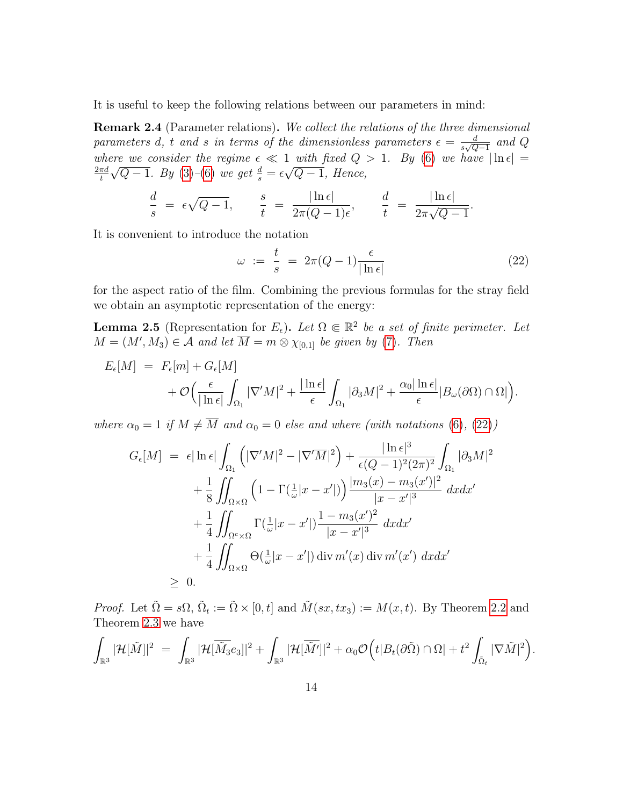It is useful to keep the following relations between our parameters in mind:

<span id="page-13-1"></span>**Remark 2.4** (Parameter relations). We collect the relations of the three dimensional parameters d, t and s in terms of the dimensionless parameters  $\epsilon = \frac{d}{\epsilon \sqrt{C}}$  $\frac{d}{s\sqrt{Q-1}}$  and  $Q$ where we consider the regime  $\epsilon \ll 1$  with fixed  $Q > 1$ . By [\(6\)](#page-4-5) we have  $|\ln \epsilon| =$  $2\pi d$ t  $\sqrt{Q-1}$ . By [\(3\)](#page-3-0)–[\(6\)](#page-4-5) we get  $\frac{d}{s} = \epsilon$  $^{\perp}$  $Q-1$ , Hence,

$$
\frac{d}{s} = \epsilon \sqrt{Q-1}, \qquad \frac{s}{t} = \frac{|\ln \epsilon|}{2\pi (Q-1)\epsilon}, \qquad \frac{d}{t} = \frac{|\ln \epsilon|}{2\pi \sqrt{Q-1}}.
$$

It is convenient to introduce the notation

<span id="page-13-0"></span>
$$
\omega := \frac{t}{s} = 2\pi (Q - 1) \frac{\epsilon}{|\ln \epsilon|} \tag{22}
$$

for the aspect ratio of the film. Combining the previous formulas for the stray field we obtain an asymptotic representation of the energy:

<span id="page-13-2"></span>**Lemma 2.5** (Representation for  $E_{\epsilon}$ ). Let  $\Omega \in \mathbb{R}^2$  be a set of finite perimeter. Let  $M = (M', M_3) \in \mathcal{A}$  and let  $\overline{M} = m \otimes \chi_{[0,1]}$  be given by [\(7\)](#page-4-3). Then

$$
E_{\epsilon}[M] = F_{\epsilon}[m] + G_{\epsilon}[M] + \mathcal{O}\Big(\frac{\epsilon}{|\ln \epsilon|} \int_{\Omega_1} |\nabla' M|^2 + \frac{|\ln \epsilon|}{\epsilon} \int_{\Omega_1} |\partial_3 M|^2 + \frac{\alpha_0 |\ln \epsilon|}{\epsilon} |B_{\omega}(\partial \Omega) \cap \Omega|\Big).
$$

where  $\alpha_0 = 1$  if  $M \neq \overline{M}$  and  $\alpha_0 = 0$  else and where (with notations [\(6\)](#page-4-5), [\(22\)](#page-13-0))

$$
G_{\epsilon}[M] = \epsilon |\ln \epsilon| \int_{\Omega_1} \left( |\nabla' M|^2 - |\nabla' \overline{M}|^2 \right) + \frac{|\ln \epsilon|^3}{\epsilon (Q-1)^2 (2\pi)^2} \int_{\Omega_1} |\partial_3 M|^2
$$
  
+ 
$$
\frac{1}{8} \iint_{\Omega \times \Omega} \left( 1 - \Gamma(\frac{1}{\omega} |x - x'|) \right) \frac{|m_3(x) - m_3(x')|^2}{|x - x'|^3} dx dx'
$$
  
+ 
$$
\frac{1}{4} \iint_{\Omega^c \times \Omega} \Gamma(\frac{1}{\omega} |x - x'|) \frac{1 - m_3(x')^2}{|x - x'|^3} dx dx'
$$
  
+ 
$$
\frac{1}{4} \iint_{\Omega \times \Omega} \Theta(\frac{1}{\omega} |x - x'|) \operatorname{div} m'(x) \operatorname{div} m'(x') dx dx'
$$
  
\ge 0.

*Proof.* Let  $\tilde{\Omega} = s\Omega$ ,  $\tilde{\Omega}_t := \tilde{\Omega} \times [0, t]$  and  $\tilde{M}(sx, tx_3) := M(x, t)$ . By Theorem [2.2](#page-9-3) and Theorem [2.3](#page-11-3) we have

$$
\int_{\mathbb{R}^3} |\mathcal{H}[\tilde{M}]|^2 = \int_{\mathbb{R}^3} |\mathcal{H}[\overline{\tilde{M}}_3e_3]|^2 + \int_{\mathbb{R}^3} |\mathcal{H}[\overline{\tilde{M}'}]|^2 + \alpha_0 \mathcal{O}\Big(t|B_t(\partial \tilde{\Omega}) \cap \Omega| + t^2 \int_{\tilde{\Omega}_t} |\nabla \tilde{M}|^2\Big).
$$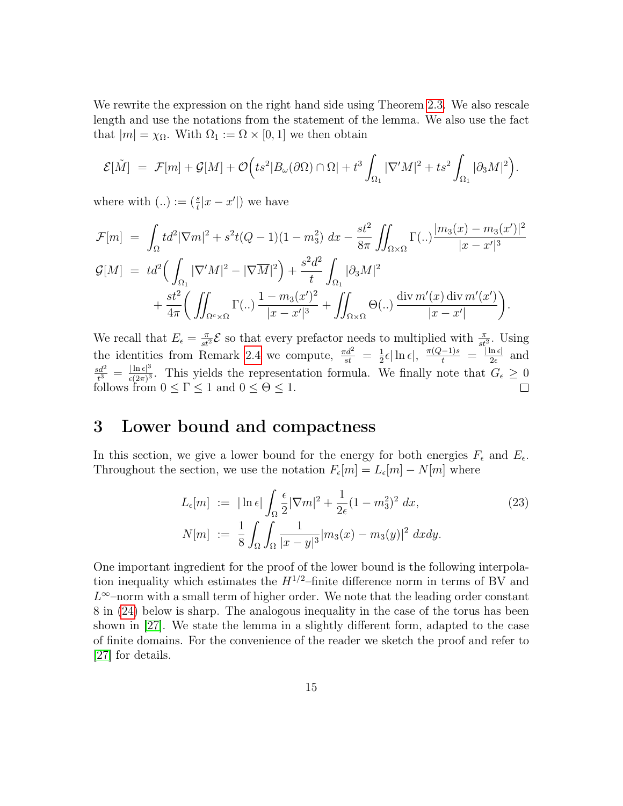We rewrite the expression on the right hand side using Theorem [2.3.](#page-11-3) We also rescale length and use the notations from the statement of the lemma. We also use the fact that  $|m| = \chi_{\Omega}$ . With  $\Omega_1 := \Omega \times [0, 1]$  we then obtain

$$
\mathcal{E}[\tilde{M}] = \mathcal{F}[m] + \mathcal{G}[M] + \mathcal{O}\Big(ts^2|B_\omega(\partial\Omega)\cap\Omega| + t^3\int_{\Omega_1}|\nabla'M|^2 + ts^2\int_{\Omega_1}|\partial_3M|^2\Big).
$$

where with  $(.) := (\frac{s}{t} |x - x'|)$  we have

$$
\mathcal{F}[m] = \int_{\Omega} t d^2 |\nabla m|^2 + s^2 t (Q - 1)(1 - m_3^2) dx - \frac{st^2}{8\pi} \iint_{\Omega \times \Omega} \Gamma(..) \frac{|m_3(x) - m_3(x')|^2}{|x - x'|^3} \n\mathcal{G}[M] = t d^2 \left( \int_{\Omega_1} |\nabla' M|^2 - |\nabla \overline{M}|^2 \right) + \frac{s^2 d^2}{t} \int_{\Omega_1} |\partial_3 M|^2 \n+ \frac{st^2}{4\pi} \left( \iint_{\Omega^c \times \Omega} \Gamma(..) \frac{1 - m_3(x')^2}{|x - x'|^3} + \iint_{\Omega \times \Omega} \Theta(..) \frac{div \, m'(x) \, \text{div } m'(x')}{|x - x'|} \right).
$$

We recall that  $E_{\epsilon} = \frac{\pi}{st^2} \mathcal{E}$  so that every prefactor needs to multiplied with  $\frac{\pi}{st^2}$ . Using the identities from Remark [2.4](#page-13-1) we compute,  $\frac{\pi d^2}{st} = \frac{1}{2}$  $\frac{1}{2}\epsilon |\ln \epsilon|, \frac{\pi (Q-1)s}{t} = \frac{|\ln \epsilon|}{2\epsilon}$  $rac{\ln \epsilon}{2\epsilon}$  and  $sd^2$  $\frac{6d^2}{t^3} = \frac{|\ln \epsilon|^3}{\epsilon (2\pi)^3}$  $\frac{|\ln \epsilon|^{\circ}}{\epsilon(2\pi)^3}$ . This yields the representation formula. We finally note that  $G_{\epsilon} \geq 0$ follows from  $0 \leq \Gamma \leq 1$  and  $0 \leq \Theta \leq 1$ .

### <span id="page-14-0"></span>3 Lower bound and compactness

In this section, we give a lower bound for the energy for both energies  $F_{\epsilon}$  and  $E_{\epsilon}$ . Throughout the section, we use the notation  $F_{\epsilon}[m] = L_{\epsilon}[m] - N[m]$  where

<span id="page-14-1"></span>
$$
L_{\epsilon}[m] := |\ln \epsilon| \int_{\Omega} \frac{\epsilon}{2} |\nabla m|^2 + \frac{1}{2\epsilon} (1 - m_3^2)^2 dx,
$$
  
\n
$$
N[m] := \frac{1}{8} \int_{\Omega} \int_{\Omega} \frac{1}{|x - y|^3} |m_3(x) - m_3(y)|^2 dx dy.
$$
\n(23)

One important ingredient for the proof of the lower bound is the following interpolation inequality which estimates the  $H^{1/2}$ -finite difference norm in terms of BV and  $L^{\infty}$ -norm with a small term of higher order. We note that the leading order constant 8 in [\(24\)](#page-15-0) below is sharp. The analogous inequality in the case of the torus has been shown in [\[27\]](#page-25-8). We state the lemma in a slightly different form, adapted to the case of finite domains. For the convenience of the reader we sketch the proof and refer to [\[27\]](#page-25-8) for details.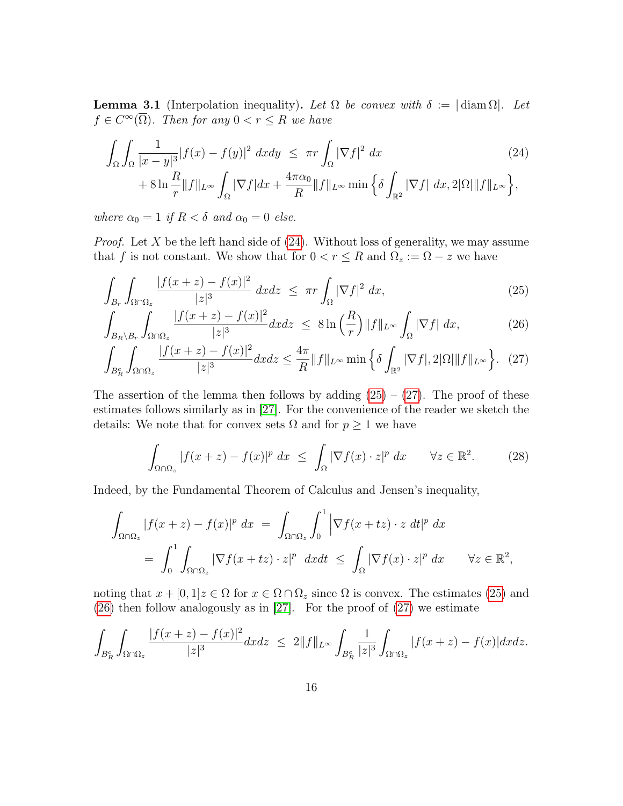<span id="page-15-5"></span>**Lemma 3.1** (Interpolation inequality). Let  $\Omega$  be convex with  $\delta := |\text{diam }\Omega|$ . Let  $f \in C^{\infty}(\overline{\Omega})$ . Then for any  $0 < r \leq R$  we have

<span id="page-15-0"></span>
$$
\int_{\Omega} \int_{\Omega} \frac{1}{|x-y|^3} |f(x) - f(y)|^2 dx dy \leq \pi r \int_{\Omega} |\nabla f|^2 dx
$$
\n
$$
+ 8 \ln \frac{R}{r} ||f||_{L^{\infty}} \int_{\Omega} |\nabla f| dx + \frac{4\pi \alpha_0}{R} ||f||_{L^{\infty}} \min \left\{ \delta \int_{\mathbb{R}^2} |\nabla f| dx, 2|\Omega| ||f||_{L^{\infty}} \right\},\tag{24}
$$

where  $\alpha_0 = 1$  if  $R < \delta$  and  $\alpha_0 = 0$  else.

*Proof.* Let X be the left hand side of  $(24)$ . Without loss of generality, we may assume that f is not constant. We show that for  $0 < r \leq R$  and  $\Omega_z := \Omega - z$  we have

$$
\int_{B_r} \int_{\Omega \cap \Omega_z} \frac{|f(x+z) - f(x)|^2}{|z|^3} dx dz \leq \pi r \int_{\Omega} |\nabla f|^2 dx,
$$
\n(25)

$$
\int_{B_R \setminus B_r} \int_{\Omega \cap \Omega_z} \frac{|f(x+z) - f(x)|^2}{|z|^3} dx dz \leq 8 \ln \left( \frac{R}{r} \right) \|f\|_{L^\infty} \int_{\Omega} |\nabla f| dx, \tag{26}
$$

$$
\int_{B_R^c} \int_{\Omega \cap \Omega_z} \frac{|f(x+z) - f(x)|^2}{|z|^3} dx dz \le \frac{4\pi}{R} \|f\|_{L^\infty} \min \left\{ \delta \int_{\mathbb{R}^2} |\nabla f|, 2|\Omega| \|f\|_{L^\infty} \right\}.
$$
 (27)

The assertion of the lemma then follows by adding  $(25) - (27)$  $(25) - (27)$  $(25) - (27)$ . The proof of these estimates follows similarly as in [\[27\]](#page-25-8). For the convenience of the reader we sketch the details: We note that for convex sets  $\Omega$  and for  $p \geq 1$  we have

<span id="page-15-4"></span><span id="page-15-3"></span><span id="page-15-2"></span><span id="page-15-1"></span>
$$
\int_{\Omega \cap \Omega_z} |f(x+z) - f(x)|^p dx \le \int_{\Omega} |\nabla f(x) \cdot z|^p dx \quad \forall z \in \mathbb{R}^2.
$$
 (28)

Indeed, by the Fundamental Theorem of Calculus and Jensen's inequality,

$$
\int_{\Omega \cap \Omega_z} |f(x+z) - f(x)|^p dx = \int_{\Omega \cap \Omega_z} \int_0^1 \left| \nabla f(x+tz) \cdot z \, dt \right|^p dx
$$
  
= 
$$
\int_0^1 \int_{\Omega \cap \Omega_z} |\nabla f(x+tz) \cdot z|^p dx dt \le \int_{\Omega} |\nabla f(x) \cdot z|^p dx \qquad \forall z \in \mathbb{R}^2,
$$

noting that  $x + [0, 1]z \in \Omega$  for  $x \in \Omega \cap \Omega_z$  since  $\Omega$  is convex. The estimates [\(25\)](#page-15-1) and [\(26\)](#page-15-3) then follow analogously as in [\[27\]](#page-25-8). For the proof of [\(27\)](#page-15-2) we estimate

$$
\int_{B_R^c}\int_{\Omega\cap\Omega_z}\frac{|f(x+z)-f(x)|^2}{|z|^3}dxdz\ \le\ 2\|f\|_{L^\infty}\int_{B_R^c}\frac{1}{|z|^3}\int_{\Omega\cap\Omega_z}|f(x+z)-f(x)|dxdz.
$$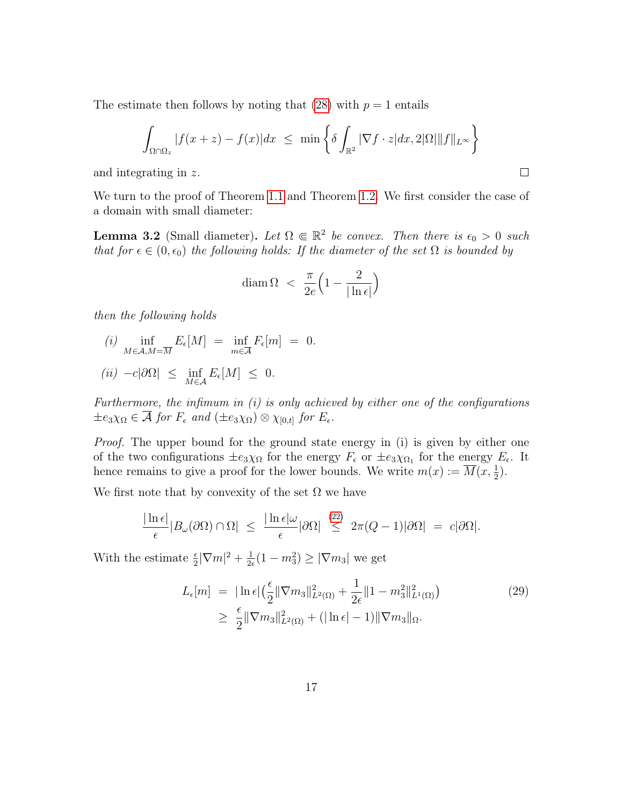The estimate then follows by noting that [\(28\)](#page-15-4) with  $p = 1$  entails

$$
\int_{\Omega \cap \Omega_z} |f(x+z) - f(x)| dx \leq \min \left\{ \delta \int_{\mathbb{R}^2} |\nabla f \cdot z| dx, 2|\Omega| \|f\|_{L^\infty} \right\}
$$

 $\Box$ 

and integrating in z.

We turn to the proof of Theorem [1.1](#page-4-1) and Theorem [1.2.](#page-5-3) We first consider the case of a domain with small diameter:

<span id="page-16-0"></span>**Lemma 3.2** (Small diameter). Let  $\Omega \in \mathbb{R}^2$  be convex. Then there is  $\epsilon_0 > 0$  such that for  $\epsilon \in (0, \epsilon_0)$  the following holds: If the diameter of the set  $\Omega$  is bounded by

$$
\operatorname{diam}\Omega \ < \ \frac{\pi}{2e}\Big(1-\frac{2}{|\ln \epsilon|}\Big)
$$

then the following holds

(i) 
$$
\inf_{M \in \mathcal{A}, M = \overline{M}} E_{\epsilon}[M] = \inf_{m \in \overline{\mathcal{A}}} F_{\epsilon}[m] = 0.
$$

$$
(ii) \ -c|\partial\Omega| \leq \inf_{M\in\mathcal{A}} E_{\epsilon}[M] \leq 0.
$$

Furthermore, the infimum in  $(i)$  is only achieved by either one of the configurations  $\pm e_3 \chi_{\Omega} \in \mathcal{A}$  for  $F_{\epsilon}$  and  $(\pm e_3 \chi_{\Omega}) \otimes \chi_{[0,t]}$  for  $E_{\epsilon}$ .

Proof. The upper bound for the ground state energy in (i) is given by either one of the two configurations  $\pm e_3 \chi_{\Omega}$  for the energy  $F_{\epsilon}$  or  $\pm e_3 \chi_{\Omega_1}$  for the energy  $E_{\epsilon}$ . It hence remains to give a proof for the lower bounds. We write  $m(x) := \overline{M}(x, \frac{1}{2})$ .

We first note that by convexity of the set  $\Omega$  we have

$$
\frac{|\ln \epsilon|}{\epsilon} |B_{\omega}(\partial \Omega) \cap \Omega| \le \frac{|\ln \epsilon| \omega}{\epsilon} |\partial \Omega| \stackrel{(22)}{\le} 2\pi (Q-1) |\partial \Omega| = c |\partial \Omega|.
$$

With the estimate  $\frac{\epsilon}{2}|\nabla m|^2 + \frac{1}{2\epsilon}$  $\frac{1}{2\epsilon}(1 - m_3^2) \ge |\nabla m_3|$  we get

<span id="page-16-1"></span>
$$
L_{\epsilon}[m] = |\ln \epsilon| \left(\frac{\epsilon}{2} \|\nabla m_3\|_{L^2(\Omega)}^2 + \frac{1}{2\epsilon} \|1 - m_3^2\|_{L^1(\Omega)}^2\right) \ge \frac{\epsilon}{2} \|\nabla m_3\|_{L^2(\Omega)}^2 + (|\ln \epsilon| - 1) \|\nabla m_3\|_{\Omega}.
$$
 (29)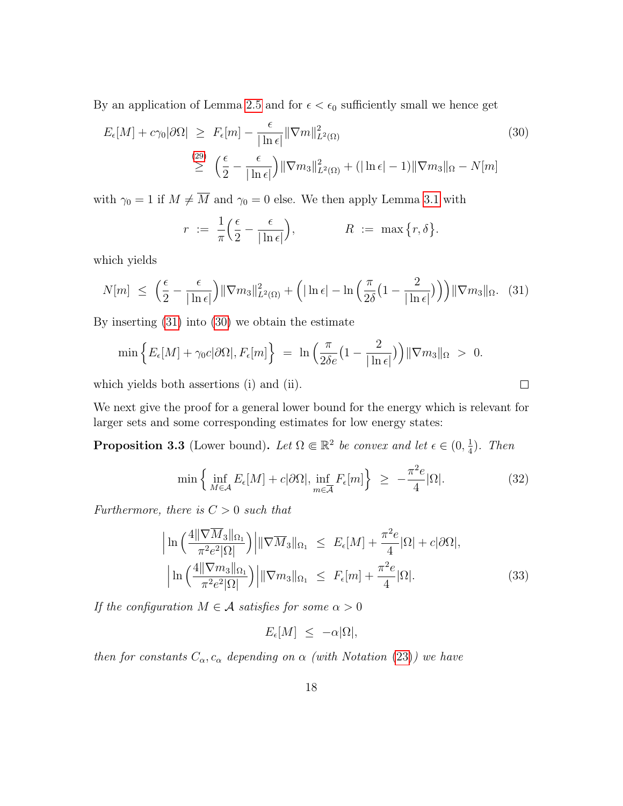By an application of Lemma [2.5](#page-13-2) and for  $\epsilon < \epsilon_0$  sufficiently small we hence get

$$
E_{\epsilon}[M] + c\gamma_0|\partial\Omega| \ge F_{\epsilon}[m] - \frac{\epsilon}{|\ln \epsilon|} \|\nabla m\|_{L^2(\Omega)}^2
$$
\n
$$
\ge \left(\frac{\epsilon}{2} - \frac{\epsilon}{|\ln \epsilon|}\right) \|\nabla m_3\|_{L^2(\Omega)}^2 + (|\ln \epsilon| - 1) \|\nabla m_3\|_{\Omega} - N[m]
$$
\n(30)

with  $\gamma_0 = 1$  if  $M \neq \overline{M}$  and  $\gamma_0 = 0$  else. We then apply Lemma [3.1](#page-15-5) with

$$
r := \frac{1}{\pi} \left( \frac{\epsilon}{2} - \frac{\epsilon}{|\ln \epsilon|} \right), \qquad R := \max \{ r, \delta \}.
$$

which yields

$$
N[m] \leq \left(\frac{\epsilon}{2} - \frac{\epsilon}{|\ln \epsilon|}\right) \|\nabla m_3\|_{L^2(\Omega)}^2 + \left(|\ln \epsilon| - \ln\left(\frac{\pi}{2\delta} \left(1 - \frac{2}{|\ln \epsilon|}\right)\right)\right) \|\nabla m_3\|_{\Omega}. \quad (31)
$$

By inserting [\(31\)](#page-17-1) into [\(30\)](#page-17-2) we obtain the estimate

$$
\min\left\{E_{\epsilon}[M] + \gamma_0 c|\partial\Omega|, F_{\epsilon}[m]\right\} = \ln\left(\frac{\pi}{2\delta e}\left(1 - \frac{2}{|\ln \epsilon|}\right)\right) \|\nabla m_3\|_{\Omega} > 0.
$$

which yields both assertions (i) and (ii).

We next give the proof for a general lower bound for the energy which is relevant for larger sets and some corresponding estimates for low energy states:

<span id="page-17-0"></span>**Proposition 3.3** (Lower bound). Let  $\Omega \in \mathbb{R}^2$  be convex and let  $\epsilon \in (0, \frac{1}{4})$  $\frac{1}{4}$ ). Then

$$
\min\left\{\inf_{M\in\mathcal{A}} E_{\epsilon}[M] + c|\partial\Omega|, \inf_{m\in\mathcal{A}} F_{\epsilon}[m]\right\} \ge -\frac{\pi^2 e}{4}|\Omega|.
$$
 (32)

<span id="page-17-4"></span><span id="page-17-3"></span><span id="page-17-2"></span><span id="page-17-1"></span> $\Box$ 

Furthermore, there is  $C > 0$  such that

$$
\left| \ln \left( \frac{4 \|\nabla \overline{M}_3\|_{\Omega_1}}{\pi^2 e^2 |\Omega|} \right) \middle| \|\nabla \overline{M}_3\|_{\Omega_1} \le E_{\epsilon}[M] + \frac{\pi^2 e}{4} |\Omega| + c |\partial \Omega|,
$$
  
\n
$$
\left| \ln \left( \frac{4 \|\nabla m_3\|_{\Omega_1}}{\pi^2 e^2 |\Omega|} \right) \right| \|\nabla m_3\|_{\Omega_1} \le F_{\epsilon}[m] + \frac{\pi^2 e}{4} |\Omega|.
$$
 (33)

If the configuration  $M \in \mathcal{A}$  satisfies for some  $\alpha > 0$ 

$$
E_{\epsilon}[M] \leq -\alpha |\Omega|,
$$

then for constants  $C_{\alpha}, c_{\alpha}$  depending on  $\alpha$  (with Notation [\(23\)](#page-14-1)) we have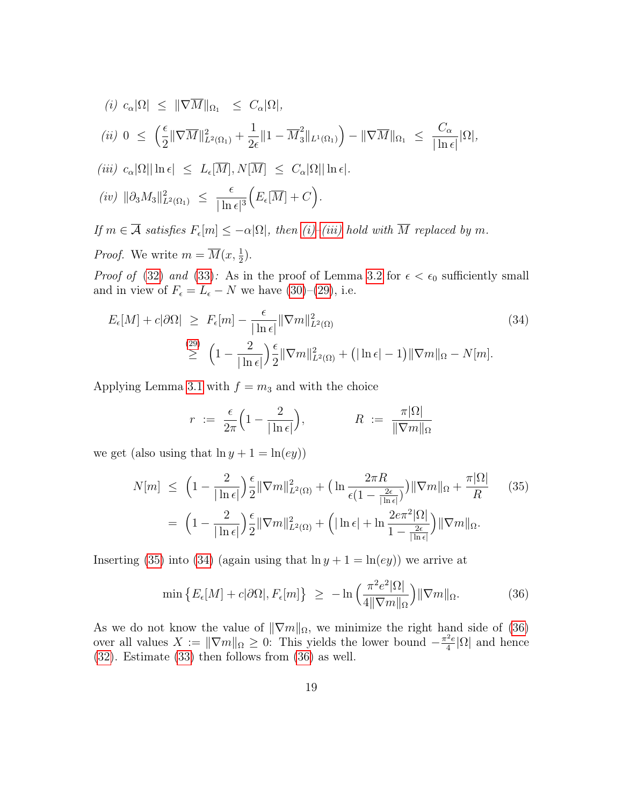<span id="page-18-6"></span><span id="page-18-1"></span><span id="page-18-0"></span>(i) 
$$
c_{\alpha}|\Omega| \leq ||\nabla \overline{M}||_{\Omega_1} \leq C_{\alpha}|\Omega|
$$
,  
\n(ii)  $0 \leq \left(\frac{\epsilon}{2} ||\nabla \overline{M}||_{L^2(\Omega_1)}^2 + \frac{1}{2\epsilon} ||1 - \overline{M}_3^2||_{L^1(\Omega_1)}\right) - ||\nabla \overline{M}||_{\Omega_1} \leq \frac{C_{\alpha}}{|\ln \epsilon|} |\Omega|$ ,  
\n(iii)  $c_{\alpha}|\Omega||\ln \epsilon| \leq L_{\epsilon}[\overline{M}], N[\overline{M}] \leq C_{\alpha}|\Omega||\ln \epsilon|$ .  
\n(iv)  $||\partial_3 M_3||_{L^2(\Omega_1)}^2 \leq \frac{\epsilon}{|\ln \epsilon|^3} \Big( E_{\epsilon}[\overline{M}] + C \Big)$ .

<span id="page-18-5"></span>If  $m \in \mathcal{A}$  satisfies  $F_{\epsilon}[m] \leq -\alpha |\Omega|$ , then  $(i)$ –[\(iii\)](#page-18-1) hold with M replaced by m. *Proof.* We write  $m = \overline{M}(x, \frac{1}{2})$ .

*Proof of* [\(32\)](#page-17-3) and [\(33\)](#page-17-4): As in the proof of Lemma [3.2](#page-16-0) for  $\epsilon < \epsilon_0$  sufficiently small and in view of  $F_{\epsilon} = L_{\epsilon} - N$  we have [\(30\)](#page-17-2)–[\(29\)](#page-16-1), i.e.

$$
E_{\epsilon}[M] + c|\partial\Omega| \ge F_{\epsilon}[m] - \frac{\epsilon}{|\ln \epsilon|} \|\nabla m\|_{L^{2}(\Omega)}^{2}
$$
\n
$$
\ge \left(1 - \frac{2}{|\ln \epsilon|}\right) \frac{\epsilon}{2} \|\nabla m\|_{L^{2}(\Omega)}^{2} + \left(|\ln \epsilon| - 1\right) \|\nabla m\|_{\Omega} - N[m].
$$
\n(34)

Applying Lemma [3.1](#page-15-5) with  $f = m_3$  and with the choice

<span id="page-18-3"></span><span id="page-18-2"></span>
$$
r := \frac{\epsilon}{2\pi} \left( 1 - \frac{2}{|\ln \epsilon|} \right), \qquad R := \frac{\pi |\Omega|}{\|\nabla m\|_{\Omega}}
$$

we get (also using that  $\ln y + 1 = \ln(ey)$ )

$$
N[m] \leq \left(1 - \frac{2}{|\ln \epsilon|}\right) \frac{\epsilon}{2} \|\nabla m\|_{L^2(\Omega)}^2 + \left(\ln \frac{2\pi R}{\epsilon (1 - \frac{2\epsilon}{|\ln \epsilon|})}\right) \|\nabla m\|_{\Omega} + \frac{\pi |\Omega|}{R} \qquad (35)
$$

$$
= \left(1 - \frac{2}{|\ln \epsilon|}\right) \frac{\epsilon}{2} \|\nabla m\|_{L^2(\Omega)}^2 + \left(|\ln \epsilon| + \ln \frac{2e\pi^2 |\Omega|}{1 - \frac{2\epsilon}{|\ln \epsilon|}}\right) \|\nabla m\|_{\Omega}.
$$

Inserting [\(35\)](#page-18-2) into [\(34\)](#page-18-3) (again using that  $\ln y + 1 = \ln(ey)$ ) we arrive at

<span id="page-18-4"></span>
$$
\min \left\{ E_{\epsilon}[M] + c|\partial\Omega|, F_{\epsilon}[m] \right\} \geq -\ln \left( \frac{\pi^2 e^2 |\Omega|}{4 \|\nabla m\|_{\Omega}} \right) \|\nabla m\|_{\Omega}.
$$
 (36)

As we do not know the value of  $\|\nabla m\|_{\Omega}$ , we minimize the right hand side of [\(36\)](#page-18-4) over all values  $X := \|\nabla m\|_{\Omega} \geq 0$ . This yields the lower bound  $-\frac{\pi^2 e}{4}$  $\frac{e}{4}|\Omega|$  and hence [\(32\)](#page-17-3). Estimate [\(33\)](#page-17-4) then follows from [\(36\)](#page-18-4) as well.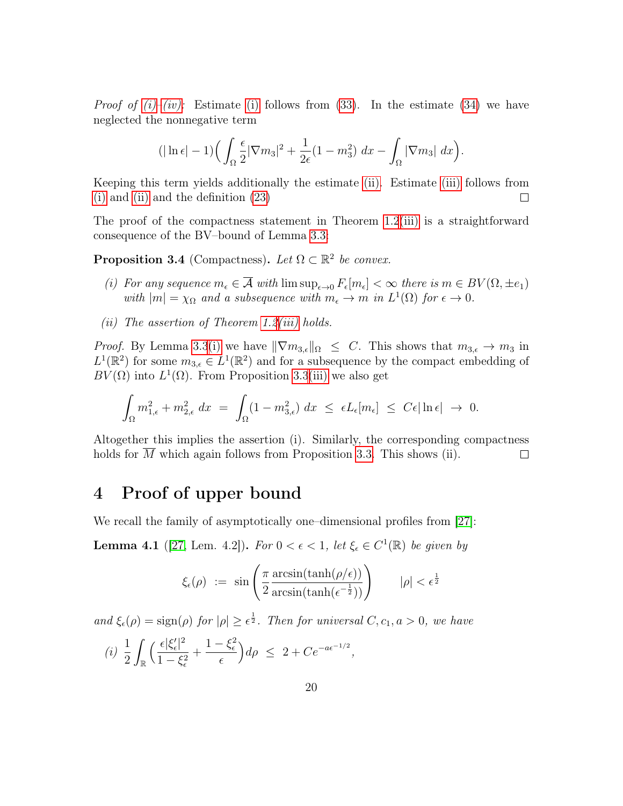*Proof of [\(i\)](#page-18-0)[–\(iv\):](#page-18-5)* Estimate (i) follows from [\(33\)](#page-17-4). In the estimate [\(34\)](#page-18-3) we have neglected the nonnegative term

$$
(|\ln \epsilon| - 1) \left( \int_{\Omega} \frac{\epsilon}{2} |\nabla m_3|^2 + \frac{1}{2\epsilon} (1 - m_3^2) \, dx - \int_{\Omega} |\nabla m_3| \, dx \right).
$$

Keeping this term yields additionally the estimate [\(ii\).](#page-18-6) Estimate [\(iii\)](#page-18-1) follows from [\(i\)](#page-18-0) and [\(ii\)](#page-18-6) and the definition [\(23\)](#page-14-1)  $\Box$ 

The proof of the compactness statement in Theorem [1.2](#page-5-3)[\(iii\)](#page-5-2) is a straightforward consequence of the BV–bound of Lemma [3.3:](#page-17-0)

<span id="page-19-1"></span>**Proposition 3.4** (Compactness). Let  $\Omega \subset \mathbb{R}^2$  be convex.

- (i) For any sequence  $m_{\epsilon} \in \mathcal{A}$  with  $\limsup_{\epsilon \to 0} F_{\epsilon}[m_{\epsilon}] < \infty$  there is  $m \in BV(\Omega, \pm e_1)$ with  $|m| = \chi_{\Omega}$  and a subsequence with  $m_{\epsilon} \to m$  in  $L^{1}(\Omega)$  for  $\epsilon \to 0$ .
- (*ii*) The assertion of Theorem [1.2](#page-5-3)(*iii*) holds.

*Proof.* By Lemma [3.3](#page-17-0)[\(i\)](#page-18-0) we have  $\|\nabla m_{3,\epsilon}\|_{\Omega} \leq C$ . This shows that  $m_{3,\epsilon} \to m_3$  in  $L^1(\mathbb{R}^2)$  for some  $m_{3,\epsilon} \in L^1(\mathbb{R}^2)$  and for a subsequence by the compact embedding of  $BV(\Omega)$  into  $L^1(\Omega)$ . From Proposition [3.3](#page-17-0)[\(iii\)](#page-18-1) we also get

$$
\int_{\Omega} m_{1,\epsilon}^2 + m_{2,\epsilon}^2 dx = \int_{\Omega} (1 - m_{3,\epsilon}^2) dx \leq \epsilon L_{\epsilon}[m_{\epsilon}] \leq C\epsilon |\ln \epsilon| \to 0.
$$

Altogether this implies the assertion (i). Similarly, the corresponding compactness holds for M which again follows from Proposition [3.3.](#page-17-0) This shows (ii).  $\Box$ 

## <span id="page-19-0"></span>4 Proof of upper bound

We recall the family of asymptotically one–dimensional profiles from [\[27\]](#page-25-8):

<span id="page-19-2"></span>**Lemma 4.1** ([\[27,](#page-25-8) Lem. 4.2]). For  $0 < \epsilon < 1$ , let  $\xi_{\epsilon} \in C^1(\mathbb{R})$  be given by

$$
\xi_{\epsilon}(\rho) := \sin\left(\frac{\pi}{2} \frac{\arcsin(\tanh(\rho/\epsilon))}{\arcsin(\tanh(\epsilon^{-\frac{1}{2}}))}\right) \qquad |\rho| < \epsilon^{\frac{1}{2}}
$$

and  $\xi_{\epsilon}(\rho) = \text{sign}(\rho)$  for  $|\rho| \geq \epsilon^{\frac{1}{2}}$ . Then for universal  $C, c_1, a > 0$ , we have

<span id="page-19-3"></span>
$$
(i) \frac{1}{2} \int_{\mathbb{R}} \Big( \frac{\epsilon |\xi_{\epsilon}'|^2}{1 - \xi_{\epsilon}^2} + \frac{1 - \xi_{\epsilon}^2}{\epsilon} \Big) d\rho \leq 2 + C e^{-a\epsilon^{-1/2}},
$$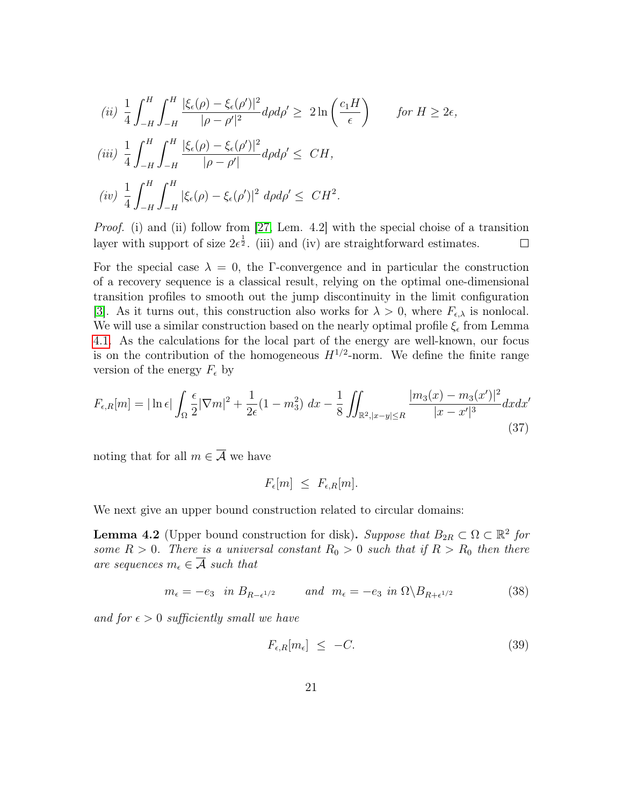$$
(ii) \frac{1}{4} \int_{-H}^{H} \int_{-H}^{H} \frac{|\xi_{\epsilon}(\rho) - \xi_{\epsilon}(\rho')|^2}{|\rho - \rho'|^2} d\rho d\rho' \ge 2 \ln\left(\frac{c_1 H}{\epsilon}\right) \qquad \text{for } H \ge 2\epsilon,
$$
\n
$$
(iii) \frac{1}{4} \int_{-H}^{H} \int_{-H}^{H} \frac{|\xi_{\epsilon}(\rho) - \xi_{\epsilon}(\rho')|^2}{|\rho - \rho'|} d\rho d\rho' \le CH,
$$
\n
$$
(iv) \frac{1}{4} \int_{-H}^{H} \int_{-H}^{H} |\xi_{\epsilon}(\rho) - \xi_{\epsilon}(\rho')|^2 d\rho d\rho' \le CH^2.
$$

*Proof.* (i) and (ii) follow from [\[27,](#page-25-8) Lem. 4.2] with the special choise of a transition layer with support of size  $2\epsilon^{\frac{1}{2}}$ . (iii) and (iv) are straightforward estimates.  $\Box$ 

For the special case  $\lambda = 0$ , the Γ-convergence and in particular the construction of a recovery sequence is a classical result, relying on the optimal one-dimensional transition profiles to smooth out the jump discontinuity in the limit configuration [\[3\]](#page-24-15). As it turns out, this construction also works for  $\lambda > 0$ , where  $F_{\epsilon,\lambda}$  is nonlocal. We will use a similar construction based on the nearly optimal profile  $\xi_{\epsilon}$  from Lemma [4.1.](#page-19-2) As the calculations for the local part of the energy are well-known, our focus is on the contribution of the homogeneous  $H^{1/2}$ -norm. We define the finite range version of the energy  $F_{\epsilon}$  by

$$
F_{\epsilon,R}[m] = |\ln \epsilon| \int_{\Omega} \frac{\epsilon}{2} |\nabla m|^2 + \frac{1}{2\epsilon} (1 - m_3^2) \, dx - \frac{1}{8} \iint_{\mathbb{R}^2, |x - y| \le R} \frac{|m_3(x) - m_3(x')|^2}{|x - x'|^3} dx dx'
$$
\n(37)

noting that for all  $m \in \overline{A}$  we have

<span id="page-20-3"></span>
$$
F_{\epsilon}[m] \leq F_{\epsilon,R}[m].
$$

We next give an upper bound construction related to circular domains:

<span id="page-20-2"></span>**Lemma 4.2** (Upper bound construction for disk). Suppose that  $B_{2R} \subset \Omega \subset \mathbb{R}^2$  for some  $R > 0$ . There is a universal constant  $R_0 > 0$  such that if  $R > R_0$  then there are sequences  $m_{\epsilon} \in \overline{\mathcal{A}}$  such that

$$
m_{\epsilon} = -e_3 \quad in \ B_{R-\epsilon^{1/2}} \qquad and \quad m_{\epsilon} = -e_3 \quad in \ \Omega \backslash B_{R+\epsilon^{1/2}} \tag{38}
$$

and for  $\epsilon > 0$  sufficiently small we have

<span id="page-20-1"></span><span id="page-20-0"></span>
$$
F_{\epsilon,R}[m_{\epsilon}] \le -C. \tag{39}
$$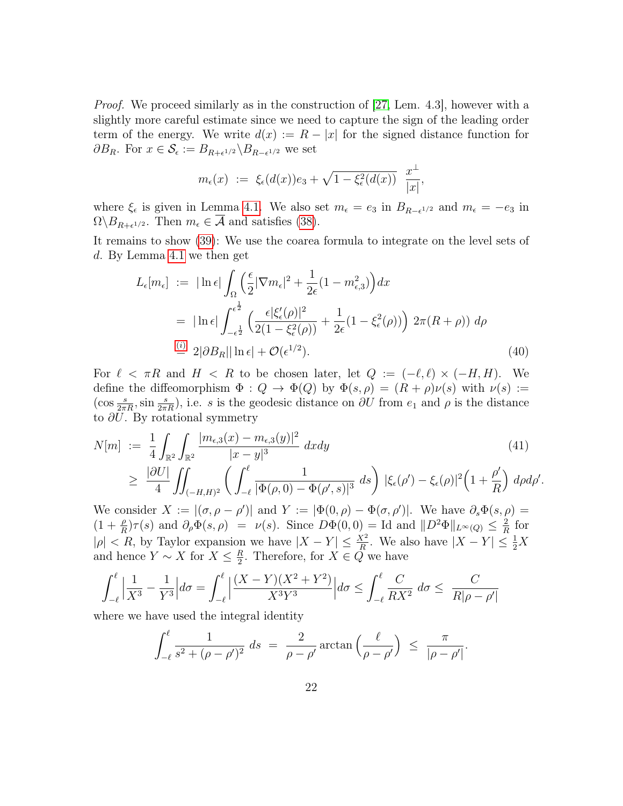Proof. We proceed similarly as in the construction of [\[27,](#page-25-8) Lem. 4.3], however with a slightly more careful estimate since we need to capture the sign of the leading order term of the energy. We write  $d(x) := R - |x|$  for the signed distance function for  $\partial B_R$ . For  $x \in \mathcal{S}_{\epsilon} := B_{R+\epsilon^{1/2}} \backslash B_{R-\epsilon^{1/2}}$  we set

$$
m_{\epsilon}(x) := \xi_{\epsilon}(d(x))e_3 + \sqrt{1 - \xi_{\epsilon}^2(d(x))} \frac{x^{\perp}}{|x|},
$$

where  $\xi_{\epsilon}$  is given in Lemma [4.1.](#page-19-2) We also set  $m_{\epsilon} = e_3$  in  $B_{R-\epsilon^{1/2}}$  and  $m_{\epsilon} = -e_3$  in  $\Omega \backslash B_{R+\epsilon^{1/2}}$ . Then  $m_{\epsilon} \in \mathcal{A}$  and satisfies [\(38\)](#page-20-0).

It remains to show [\(39\)](#page-20-1): We use the coarea formula to integrate on the level sets of d. By Lemma [4.1](#page-19-2) we then get

$$
L_{\epsilon}[m_{\epsilon}] := |\ln \epsilon| \int_{\Omega} \left(\frac{\epsilon}{2} |\nabla m_{\epsilon}|^2 + \frac{1}{2\epsilon} (1 - m_{\epsilon,3}^2)\right) dx
$$
  
\n
$$
= |\ln \epsilon| \int_{-\epsilon^{\frac{1}{2}}}^{\epsilon^{\frac{1}{2}}} \left(\frac{\epsilon |\xi_{\epsilon}'(\rho)|^2}{2(1 - \xi_{\epsilon}^2(\rho))} + \frac{1}{2\epsilon} (1 - \xi_{\epsilon}^2(\rho))\right) 2\pi (R + \rho)) d\rho
$$
  
\n
$$
\stackrel{\text{(i)}}{=} 2|\partial B_R| |\ln \epsilon| + \mathcal{O}(\epsilon^{1/2}). \tag{40}
$$

For  $\ell < \pi R$  and  $H < R$  to be chosen later, let  $Q := (-\ell, \ell) \times (-H, H)$ . We define the diffeomorphism  $\Phi: Q \to \Phi(Q)$  by  $\Phi(s,\rho) = (R+\rho)\nu(s)$  with  $\nu(s) :=$  $(\cos \frac{s}{2\pi R}, \sin \frac{s}{2\pi R})$ , i.e. s is the geodesic distance on  $\partial U$  from  $e_1$  and  $\rho$  is the distance to  $\partial U$ . By rotational symmetry

$$
N[m] := \frac{1}{4} \int_{\mathbb{R}^2} \int_{\mathbb{R}^2} \frac{|m_{\epsilon,3}(x) - m_{\epsilon,3}(y)|^2}{|x - y|^3} dx dy
$$
\n
$$
\geq \frac{|\partial U|}{4} \iint_{(-H,H)^2} \left( \int_{-\ell}^{\ell} \frac{1}{|\Phi(\rho,0) - \Phi(\rho',s)|^3} ds \right) |\xi_{\epsilon}(\rho') - \xi_{\epsilon}(\rho)|^2 \left(1 + \frac{\rho'}{R}\right) d\rho d\rho'
$$
\nW

<span id="page-21-1"></span><span id="page-21-0"></span>.

We consider  $X := |(\sigma, \rho - \rho')|$  and  $Y := |\Phi(0, \rho) - \Phi(\sigma, \rho')|$ . We have  $\partial_s \Phi(s, \rho) =$  $(1+\frac{\rho}{R})\tau(s)$  and  $\partial_{\rho}\Phi(s,\rho) = \nu(s)$ . Since  $D\Phi(0,0) = \text{Id}$  and  $||D^2\Phi||_{L^{\infty}(Q)} \leq \frac{2}{R}$  $\frac{2}{R}$  for  $|\rho| < R$ , by Taylor expansion we have  $|X - Y| \leq \frac{X^2}{R}$ . We also have  $|X - Y| \leq \frac{1}{2}X$ and hence  $Y \sim X$  for  $X \leq \frac{R}{2}$  $\frac{R}{2}$ . Therefore, for  $X \in Q$  we have

$$
\int_{-\ell}^{\ell} \left| \frac{1}{X^3} - \frac{1}{Y^3} \right| d\sigma = \int_{-\ell}^{\ell} \left| \frac{(X - Y)(X^2 + Y^2)}{X^3 Y^3} \right| d\sigma \le \int_{-\ell}^{\ell} \frac{C}{RX^2} d\sigma \le \frac{C}{R|\rho - \rho'|}
$$

where we have used the integral identity

$$
\int_{-\ell}^{\ell} \frac{1}{s^2 + (\rho - \rho')^2} \ ds \ = \ \frac{2}{\rho - \rho'} \arctan \left( \frac{\ell}{\rho - \rho'} \right) \ \leq \ \frac{\pi}{|\rho - \rho'|}.
$$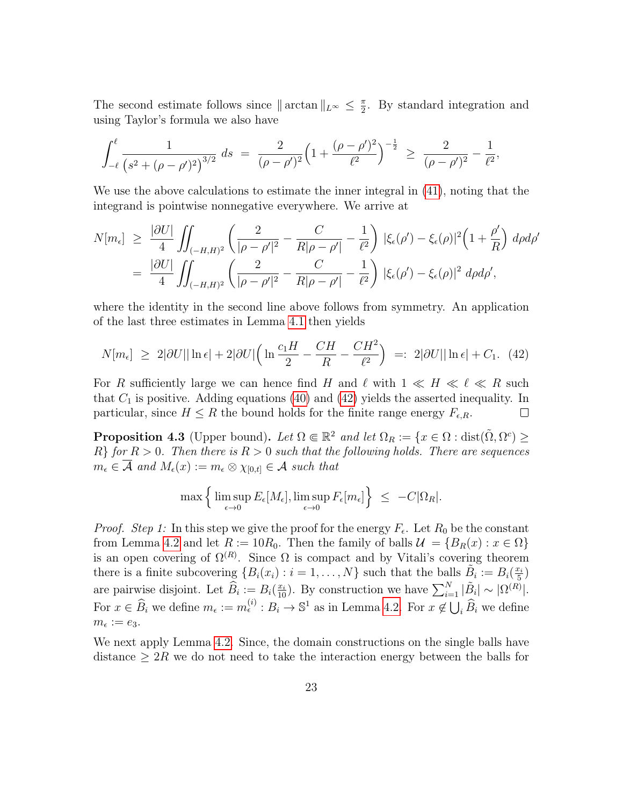The second estimate follows since  $\|\arctan\|_{L^{\infty}} \leq \frac{\pi}{2}$  $\frac{\pi}{2}$ . By standard integration and using Taylor's formula we also have

$$
\int_{-\ell}^{\ell} \frac{1}{\left(s^2 + (\rho - \rho')^2\right)^{3/2}} ds = \frac{2}{(\rho - \rho')^2} \left(1 + \frac{(\rho - \rho')^2}{\ell^2}\right)^{-\frac{1}{2}} \ge \frac{2}{(\rho - \rho')^2} - \frac{1}{\ell^2},
$$

We use the above calculations to estimate the inner integral in [\(41\)](#page-21-0), noting that the integrand is pointwise nonnegative everywhere. We arrive at

$$
N[m_{\epsilon}] \geq \frac{|\partial U|}{4} \iint_{(-H,H)^2} \left( \frac{2}{|\rho - \rho'|^2} - \frac{C}{R|\rho - \rho'|} - \frac{1}{\ell^2} \right) |\xi_{\epsilon}(\rho') - \xi_{\epsilon}(\rho)|^2 \left( 1 + \frac{\rho'}{R} \right) d\rho d\rho'
$$
  
= 
$$
\frac{|\partial U|}{4} \iint_{(-H,H)^2} \left( \frac{2}{|\rho - \rho'|^2} - \frac{C}{R|\rho - \rho'|} - \frac{1}{\ell^2} \right) |\xi_{\epsilon}(\rho') - \xi_{\epsilon}(\rho)|^2 d\rho d\rho',
$$

where the identity in the second line above follows from symmetry. An application of the last three estimates in Lemma [4.1](#page-19-2) then yields

$$
N[m_{\epsilon}] \geq 2|\partial U| |\ln \epsilon| + 2|\partial U| \left( \ln \frac{c_1 H}{2} - \frac{CH}{R} - \frac{CH^2}{\ell^2} \right) =: 2|\partial U| |\ln \epsilon| + C_1. (42)
$$

For R sufficiently large we can hence find H and  $\ell$  with  $1 \ll H \ll \ell \ll R$  such that  $C_1$  is positive. Adding equations [\(40\)](#page-21-1) and [\(42\)](#page-22-1) yields the asserted inequality. In particular, since  $H \leq R$  the bound holds for the finite range energy  $F_{\epsilon,R}$ .  $\Box$ 

<span id="page-22-0"></span>**Proposition 4.3** (Upper bound). Let  $\Omega \in \mathbb{R}^2$  and let  $\Omega_R := \{x \in \Omega : \text{dist}(\tilde{\Omega}, \Omega^c) \geq 0\}$  $R$ } for  $R > 0$ . Then there is  $R > 0$  such that the following holds. There are sequences  $m_{\epsilon} \in \overline{\mathcal{A}}$  and  $M_{\epsilon}(x) := m_{\epsilon} \otimes \chi_{[0,t]} \in \mathcal{A}$  such that

<span id="page-22-1"></span>
$$
\max\left\{\limsup_{\epsilon\to 0} E_{\epsilon}[M_{\epsilon}], \limsup_{\epsilon\to 0} F_{\epsilon}[m_{\epsilon}]\right\} \leq -C|\Omega_R|.
$$

*Proof.* Step 1: In this step we give the proof for the energy  $F_{\epsilon}$ . Let  $R_0$  be the constant from Lemma [4.2](#page-20-2) and let  $R := 10R_0$ . Then the family of balls  $\mathcal{U} = \{B_R(x) : x \in \Omega\}$ is an open covering of  $\Omega^{(R)}$ . Since  $\Omega$  is compact and by Vitali's covering theorem there is a finite subcovering  $\{B_i(x_i): i=1,\ldots,N\}$  such that the balls  $\tilde{B}_i := B_i(\frac{x_i}{5})$  $\frac{c_i}{5})$ are pairwise disjoint. Let  $\widehat{B}_i := B_i(\frac{x_i}{10})$ . By construction we have  $\sum_{i=1}^N |\tilde{B}_i| \sim |\Omega^{(R)}|$ . For  $x \in \widehat{B}_i$  we define  $m_{\epsilon} := m_{\epsilon}^{(i)} : B_i \to \mathbb{S}^1$  as in Lemma [4.2.](#page-20-2) For  $x \notin \bigcup_i \widehat{B}_i$  we define  $m_{\epsilon} := e_3.$ 

We next apply Lemma [4.2.](#page-20-2) Since, the domain constructions on the single balls have distance  $\geq 2R$  we do not need to take the interaction energy between the balls for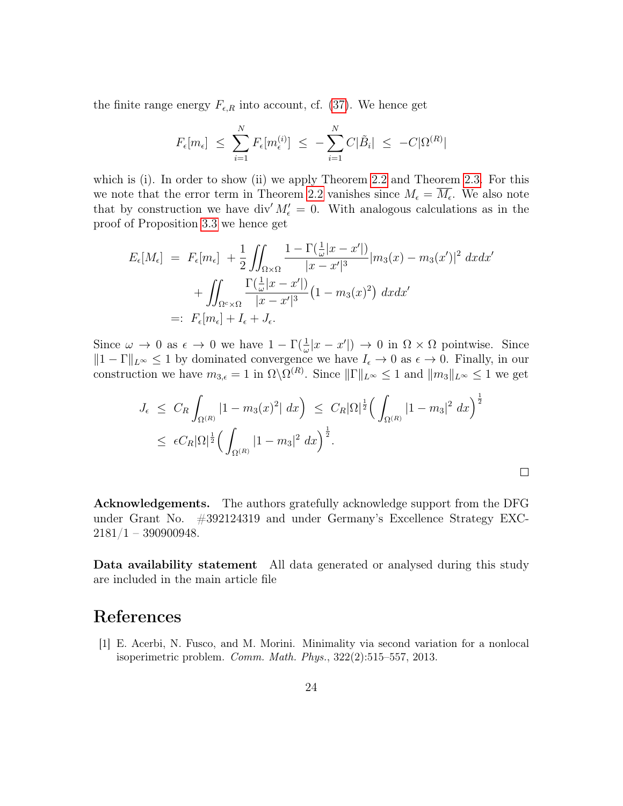the finite range energy  $F_{\epsilon,R}$  into account, cf. [\(37\)](#page-20-3). We hence get

$$
F_{\epsilon}[m_{\epsilon}] \leq \sum_{i=1}^{N} F_{\epsilon}[m_{\epsilon}^{(i)}] \leq -\sum_{i=1}^{N} C|\tilde{B}_i| \leq -C|\Omega^{(R)}|
$$

which is (i). In order to show (ii) we apply Theorem [2.2](#page-9-3) and Theorem [2.3.](#page-11-3) For this we note that the error term in Theorem [2.2](#page-9-3) vanishes since  $M_{\epsilon} = M_{\epsilon}$ . We also note that by construction we have div' $M'_\epsilon = 0$ . With analogous calculations as in the proof of Proposition [3.3](#page-17-0) we hence get

$$
E_{\epsilon}[M_{\epsilon}] = F_{\epsilon}[m_{\epsilon}] + \frac{1}{2} \iint_{\Omega \times \Omega} \frac{1 - \Gamma(\frac{1}{\omega}|x - x'|)}{|x - x'|^{3}} |m_{3}(x) - m_{3}(x')|^{2} dx dx'
$$
  
+ 
$$
\iint_{\Omega^{c} \times \Omega} \frac{\Gamma(\frac{1}{\omega}|x - x'|)}{|x - x'|^{3}} (1 - m_{3}(x)^{2}) dx dx'
$$
  
=: 
$$
F_{\epsilon}[m_{\epsilon}] + I_{\epsilon} + J_{\epsilon}.
$$

Since  $\omega \to 0$  as  $\epsilon \to 0$  we have  $1 - \Gamma(\frac{1}{\omega}|x - x'|) \to 0$  in  $\Omega \times \Omega$  pointwise. Since  $||1 - \Gamma||_{L^{\infty}} \leq 1$  by dominated convergence we have  $I_{\epsilon} \to 0$  as  $\epsilon \to 0$ . Finally, in our construction we have  $m_{3,\epsilon} = 1$  in  $\Omega \backslash \Omega^{(R)}$ . Since  $||\Gamma||_{L^{\infty}} \leq 1$  and  $||m_3||_{L^{\infty}} \leq 1$  we get

$$
J_{\epsilon} \leq C_R \int_{\Omega^{(R)}} |1 - m_3(x)^2| \, dx \Big) \leq C_R |\Omega|^{\frac{1}{2}} \Big( \int_{\Omega^{(R)}} |1 - m_3|^2 \, dx \Big)^{\frac{1}{2}}
$$
  

$$
\leq \epsilon C_R |\Omega|^{\frac{1}{2}} \Big( \int_{\Omega^{(R)}} |1 - m_3|^2 \, dx \Big)^{\frac{1}{2}}.
$$

 $\Box$ 

Acknowledgements. The authors gratefully acknowledge support from the DFG under Grant No. #392124319 and under Germany's Excellence Strategy EXC- $2181/1 - 390900948.$ 

Data availability statement All data generated or analysed during this study are included in the main article file

### References

<span id="page-23-0"></span>[1] E. Acerbi, N. Fusco, and M. Morini. Minimality via second variation for a nonlocal isoperimetric problem. Comm. Math. Phys., 322(2):515–557, 2013.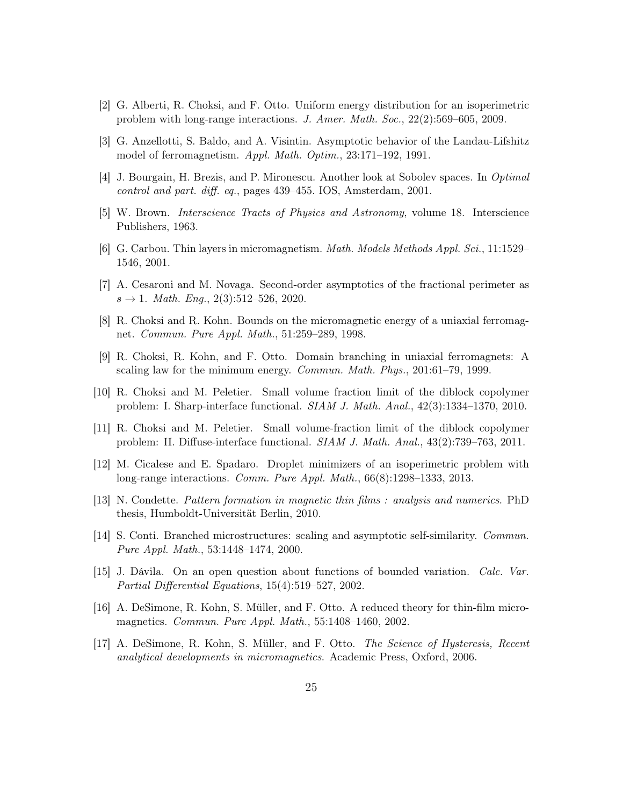- <span id="page-24-11"></span>[2] G. Alberti, R. Choksi, and F. Otto. Uniform energy distribution for an isoperimetric problem with long-range interactions. J. Amer. Math. Soc., 22(2):569–605, 2009.
- <span id="page-24-15"></span>[3] G. Anzellotti, S. Baldo, and A. Visintin. Asymptotic behavior of the Landau-Lifshitz model of ferromagnetism. Appl. Math. Optim., 23:171–192, 1991.
- <span id="page-24-8"></span>[4] J. Bourgain, H. Brezis, and P. Mironescu. Another look at Sobolev spaces. In Optimal control and part. diff. eq., pages 439–455. IOS, Amsterdam, 2001.
- <span id="page-24-0"></span>[5] W. Brown. Interscience Tracts of Physics and Astronomy, volume 18. Interscience Publishers, 1963.
- <span id="page-24-5"></span>[6] G. Carbou. Thin layers in micromagnetism. Math. Models Methods Appl. Sci., 11:1529– 1546, 2001.
- <span id="page-24-10"></span>[7] A. Cesaroni and M. Novaga. Second-order asymptotics of the fractional perimeter as  $s \to 1$ . Math. Eng., 2(3):512–526, 2020.
- <span id="page-24-2"></span>[8] R. Choksi and R. Kohn. Bounds on the micromagnetic energy of a uniaxial ferromagnet. Commun. Pure Appl. Math., 51:259–289, 1998.
- <span id="page-24-3"></span>[9] R. Choksi, R. Kohn, and F. Otto. Domain branching in uniaxial ferromagnets: A scaling law for the minimum energy. Commun. Math. Phys., 201:61–79, 1999.
- <span id="page-24-12"></span>[10] R. Choksi and M. Peletier. Small volume fraction limit of the diblock copolymer problem: I. Sharp-interface functional. SIAM J. Math. Anal., 42(3):1334–1370, 2010.
- <span id="page-24-13"></span>[11] R. Choksi and M. Peletier. Small volume-fraction limit of the diblock copolymer problem: II. Diffuse-interface functional. SIAM J. Math. Anal., 43(2):739–763, 2011.
- <span id="page-24-14"></span>[12] M. Cicalese and E. Spadaro. Droplet minimizers of an isoperimetric problem with long-range interactions. Comm. Pure Appl. Math., 66(8):1298–1333, 2013.
- <span id="page-24-7"></span>[13] N. Condette. Pattern formation in magnetic thin films : analysis and numerics. PhD thesis, Humboldt-Universität Berlin, 2010.
- <span id="page-24-4"></span>[14] S. Conti. Branched microstructures: scaling and asymptotic self-similarity. Commun. Pure Appl. Math., 53:1448–1474, 2000.
- <span id="page-24-9"></span>[15] J. Dávila. On an open question about functions of bounded variation. Calc. Var. Partial Differential Equations, 15(4):519–527, 2002.
- <span id="page-24-6"></span>[16] A. DeSimone, R. Kohn, S. Müller, and F. Otto. A reduced theory for thin-film micromagnetics. Commun. Pure Appl. Math., 55:1408–1460, 2002.
- <span id="page-24-1"></span>[17] A. DeSimone, R. Kohn, S. Müller, and F. Otto. The Science of Hysteresis, Recent analytical developments in micromagnetics. Academic Press, Oxford, 2006.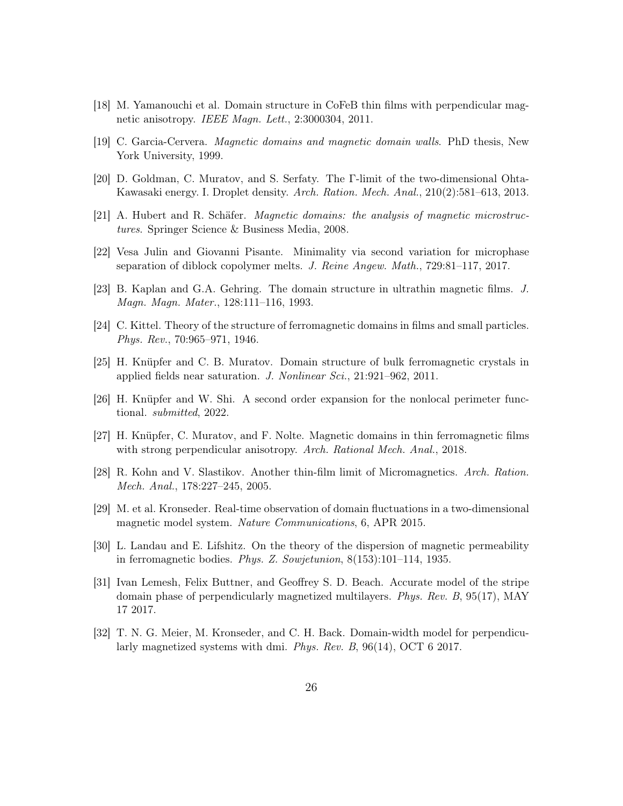- <span id="page-25-9"></span>[18] M. Yamanouchi et al. Domain structure in CoFeB thin films with perpendicular magnetic anisotropy. IEEE Magn. Lett., 2:3000304, 2011.
- <span id="page-25-4"></span>[19] C. Garcia-Cervera. Magnetic domains and magnetic domain walls. PhD thesis, New York University, 1999.
- <span id="page-25-13"></span>[20] D. Goldman, C. Muratov, and S. Serfaty. The Γ-limit of the two-dimensional Ohta-Kawasaki energy. I. Droplet density. Arch. Ration. Mech. Anal., 210(2):581–613, 2013.
- <span id="page-25-0"></span>[21] A. Hubert and R. Schäfer. Magnetic domains: the analysis of magnetic microstructures. Springer Science & Business Media, 2008.
- <span id="page-25-14"></span>[22] Vesa Julin and Giovanni Pisante. Minimality via second variation for microphase separation of diblock copolymer melts. J. Reine Angew. Math., 729:81–117, 2017.
- <span id="page-25-7"></span>[23] B. Kaplan and G.A. Gehring. The domain structure in ultrathin magnetic films. J. Magn. Magn. Mater., 128:111–116, 1993.
- <span id="page-25-2"></span>[24] C. Kittel. Theory of the structure of ferromagnetic domains in films and small particles. Phys. Rev., 70:965–971, 1946.
- <span id="page-25-3"></span>[25] H. Knüpfer and C. B. Muratov. Domain structure of bulk ferromagnetic crystals in applied fields near saturation. J. Nonlinear Sci., 21:921–962, 2011.
- <span id="page-25-12"></span>[26] H. Knüpfer and W. Shi. A second order expansion for the nonlocal perimeter functional. submitted, 2022.
- <span id="page-25-8"></span>[27] H. Knüpfer, C. Muratov, and F. Nolte. Magnetic domains in thin ferromagnetic films with strong perpendicular anisotropy. Arch. Rational Mech. Anal., 2018.
- <span id="page-25-5"></span>[28] R. Kohn and V. Slastikov. Another thin-film limit of Micromagnetics. Arch. Ration. Mech. Anal., 178:227–245, 2005.
- <span id="page-25-6"></span>[29] M. et al. Kronseder. Real-time observation of domain fluctuations in a two-dimensional magnetic model system. Nature Communications, 6, APR 2015.
- <span id="page-25-1"></span>[30] L. Landau and E. Lifshitz. On the theory of the dispersion of magnetic permeability in ferromagnetic bodies. Phys. Z. Sowjetunion, 8(153):101–114, 1935.
- <span id="page-25-11"></span>[31] Ivan Lemesh, Felix Buttner, and Geoffrey S. D. Beach. Accurate model of the stripe domain phase of perpendicularly magnetized multilayers. Phys. Rev. B, 95(17), MAY 17 2017.
- <span id="page-25-10"></span>[32] T. N. G. Meier, M. Kronseder, and C. H. Back. Domain-width model for perpendicularly magnetized systems with dmi. Phys. Rev. B, 96(14), OCT 6 2017.